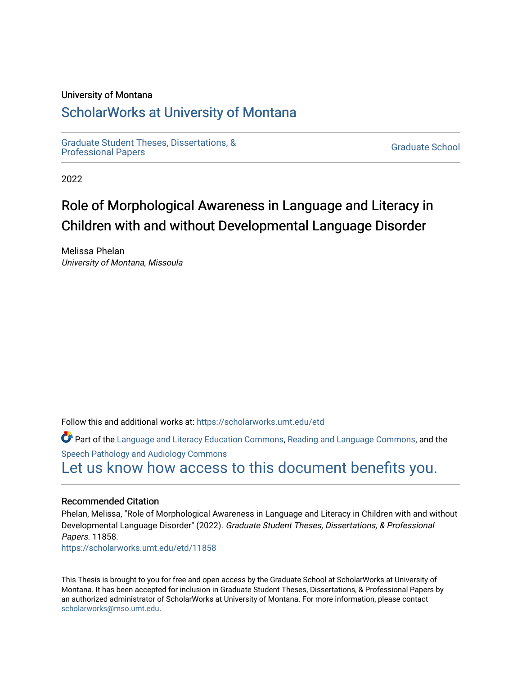## University of Montana

## [ScholarWorks at University of Montana](https://scholarworks.umt.edu/)

[Graduate Student Theses, Dissertations, &](https://scholarworks.umt.edu/etd) Graduate Student Theses, Dissertations, & Contract Control of the Graduate School [Professional Papers](https://scholarworks.umt.edu/etd) Contract Control of the Contract Control of the Contract Control of the Contract Contract Contract Control of the Contra

2022

# Role of Morphological Awareness in Language and Literacy in Children with and without Developmental Language Disorder

Melissa Phelan University of Montana, Missoula

Follow this and additional works at: [https://scholarworks.umt.edu/etd](https://scholarworks.umt.edu/etd?utm_source=scholarworks.umt.edu%2Fetd%2F11858&utm_medium=PDF&utm_campaign=PDFCoverPages) 

Part of the [Language and Literacy Education Commons,](https://network.bepress.com/hgg/discipline/1380?utm_source=scholarworks.umt.edu%2Fetd%2F11858&utm_medium=PDF&utm_campaign=PDFCoverPages) [Reading and Language Commons](https://network.bepress.com/hgg/discipline/1037?utm_source=scholarworks.umt.edu%2Fetd%2F11858&utm_medium=PDF&utm_campaign=PDFCoverPages), and the [Speech Pathology and Audiology Commons](https://network.bepress.com/hgg/discipline/1035?utm_source=scholarworks.umt.edu%2Fetd%2F11858&utm_medium=PDF&utm_campaign=PDFCoverPages) [Let us know how access to this document benefits you.](https://goo.gl/forms/s2rGfXOLzz71qgsB2) 

## Recommended Citation

Phelan, Melissa, "Role of Morphological Awareness in Language and Literacy in Children with and without Developmental Language Disorder" (2022). Graduate Student Theses, Dissertations, & Professional Papers. 11858. [https://scholarworks.umt.edu/etd/11858](https://scholarworks.umt.edu/etd/11858?utm_source=scholarworks.umt.edu%2Fetd%2F11858&utm_medium=PDF&utm_campaign=PDFCoverPages) 

This Thesis is brought to you for free and open access by the Graduate School at ScholarWorks at University of Montana. It has been accepted for inclusion in Graduate Student Theses, Dissertations, & Professional Papers by an authorized administrator of ScholarWorks at University of Montana. For more information, please contact [scholarworks@mso.umt.edu.](mailto:scholarworks@mso.umt.edu)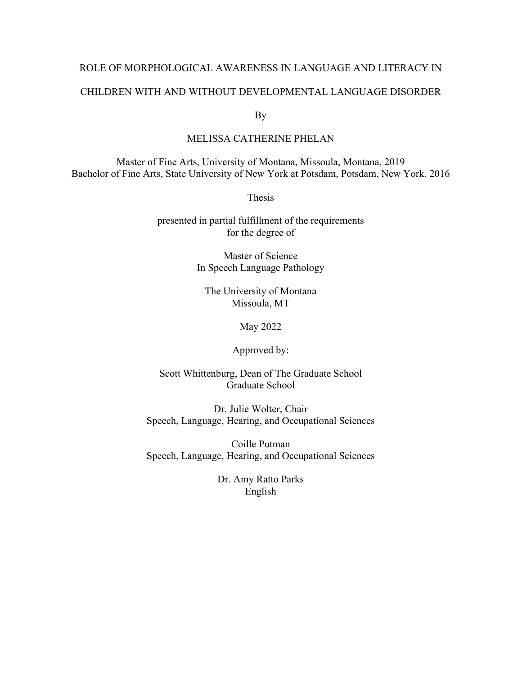# ROLE OF MORPHOLOGICAL AWARENESS IN LANGUAGE AND LITERACY IN CHILDREN WITH AND WITHOUT DEVELOPMENTAL LANGUAGE DISORDER

By

## MELISSA CATHERINE PHELAN

Master of Fine Arts, University of Montana, Missoula, Montana, 2019 Bachelor of Fine Arts, State University of New York at Potsdam, Potsdam, New York, 2016

Thesis

presented in partial fulfillment of the requirements for the degree of

> Master of Science In Speech Language Pathology

The University of Montana Missoula, MT

May 2022

Approved by:

Scott Whittenburg, Dean of The Graduate School Graduate School

Dr. Julie Wolter, Chair Speech, Language, Hearing, and Occupational Sciences

Coille Putman Speech, Language, Hearing, and Occupational Sciences

> Dr. Amy Ratto Parks English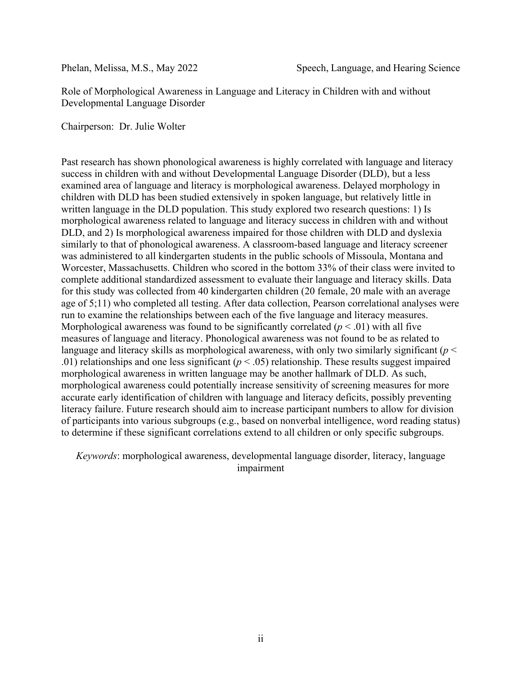Role of Morphological Awareness in Language and Literacy in Children with and without Developmental Language Disorder

Chairperson: Dr. Julie Wolter

Past research has shown phonological awareness is highly correlated with language and literacy success in children with and without Developmental Language Disorder (DLD), but a less examined area of language and literacy is morphological awareness. Delayed morphology in children with DLD has been studied extensively in spoken language, but relatively little in written language in the DLD population. This study explored two research questions: 1) Is morphological awareness related to language and literacy success in children with and without DLD, and 2) Is morphological awareness impaired for those children with DLD and dyslexia similarly to that of phonological awareness. A classroom-based language and literacy screener was administered to all kindergarten students in the public schools of Missoula, Montana and Worcester, Massachusetts. Children who scored in the bottom 33% of their class were invited to complete additional standardized assessment to evaluate their language and literacy skills. Data for this study was collected from 40 kindergarten children (20 female, 20 male with an average age of 5;11) who completed all testing. After data collection, Pearson correlational analyses were run to examine the relationships between each of the five language and literacy measures. Morphological awareness was found to be significantly correlated  $(p < .01)$  with all five measures of language and literacy. Phonological awareness was not found to be as related to language and literacy skills as morphological awareness, with only two similarly significant (*p* < .01) relationships and one less significant (*p* < .05) relationship. These results suggest impaired morphological awareness in written language may be another hallmark of DLD. As such, morphological awareness could potentially increase sensitivity of screening measures for more accurate early identification of children with language and literacy deficits, possibly preventing literacy failure. Future research should aim to increase participant numbers to allow for division of participants into various subgroups (e.g., based on nonverbal intelligence, word reading status) to determine if these significant correlations extend to all children or only specific subgroups.

*Keywords*: morphological awareness, developmental language disorder, literacy, language impairment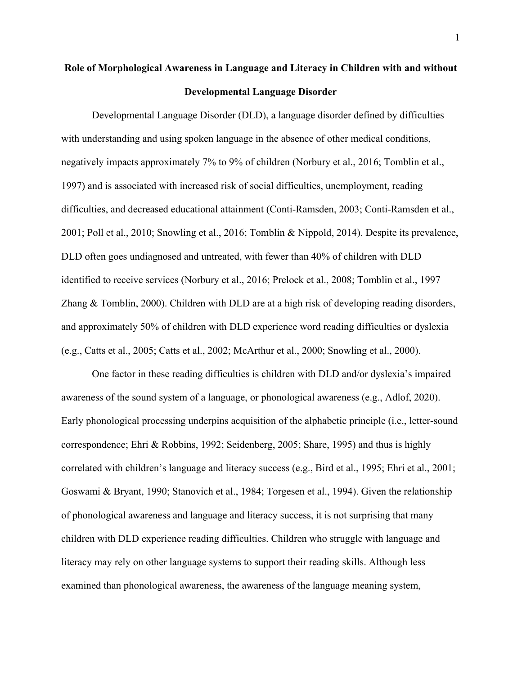## **Role of Morphological Awareness in Language and Literacy in Children with and without Developmental Language Disorder**

Developmental Language Disorder (DLD), a language disorder defined by difficulties with understanding and using spoken language in the absence of other medical conditions, negatively impacts approximately 7% to 9% of children (Norbury et al., 2016; Tomblin et al., 1997) and is associated with increased risk of social difficulties, unemployment, reading difficulties, and decreased educational attainment (Conti-Ramsden, 2003; Conti-Ramsden et al., 2001; Poll et al., 2010; Snowling et al., 2016; Tomblin & Nippold, 2014). Despite its prevalence, DLD often goes undiagnosed and untreated, with fewer than 40% of children with DLD identified to receive services (Norbury et al., 2016; Prelock et al., 2008; Tomblin et al., 1997 Zhang & Tomblin, 2000). Children with DLD are at a high risk of developing reading disorders, and approximately 50% of children with DLD experience word reading difficulties or dyslexia (e.g., Catts et al., 2005; Catts et al., 2002; McArthur et al., 2000; Snowling et al., 2000).

One factor in these reading difficulties is children with DLD and/or dyslexia's impaired awareness of the sound system of a language, or phonological awareness (e.g., Adlof, 2020). Early phonological processing underpins acquisition of the alphabetic principle (i.e., letter-sound correspondence; Ehri & Robbins, 1992; Seidenberg, 2005; Share, 1995) and thus is highly correlated with children's language and literacy success (e.g., Bird et al., 1995; Ehri et al., 2001; Goswami & Bryant, 1990; Stanovich et al., 1984; Torgesen et al., 1994). Given the relationship of phonological awareness and language and literacy success, it is not surprising that many children with DLD experience reading difficulties. Children who struggle with language and literacy may rely on other language systems to support their reading skills. Although less examined than phonological awareness, the awareness of the language meaning system,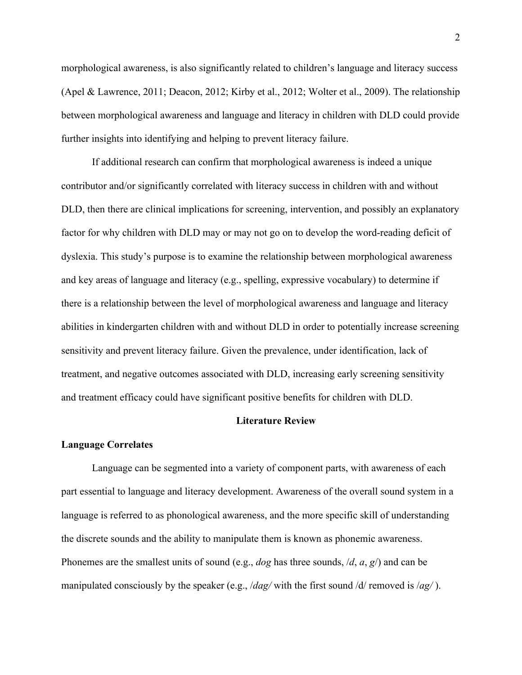morphological awareness, is also significantly related to children's language and literacy success (Apel & Lawrence, 2011; Deacon, 2012; Kirby et al., 2012; Wolter et al., 2009). The relationship between morphological awareness and language and literacy in children with DLD could provide further insights into identifying and helping to prevent literacy failure.

If additional research can confirm that morphological awareness is indeed a unique contributor and/or significantly correlated with literacy success in children with and without DLD, then there are clinical implications for screening, intervention, and possibly an explanatory factor for why children with DLD may or may not go on to develop the word-reading deficit of dyslexia. This study's purpose is to examine the relationship between morphological awareness and key areas of language and literacy (e.g., spelling, expressive vocabulary) to determine if there is a relationship between the level of morphological awareness and language and literacy abilities in kindergarten children with and without DLD in order to potentially increase screening sensitivity and prevent literacy failure. Given the prevalence, under identification, lack of treatment, and negative outcomes associated with DLD, increasing early screening sensitivity and treatment efficacy could have significant positive benefits for children with DLD.

## **Literature Review**

## **Language Correlates**

Language can be segmented into a variety of component parts, with awareness of each part essential to language and literacy development. Awareness of the overall sound system in a language is referred to as phonological awareness, and the more specific skill of understanding the discrete sounds and the ability to manipulate them is known as phonemic awareness. Phonemes are the smallest units of sound (e.g., *dog* has three sounds, /*d*, *a*, *g*/) and can be manipulated consciously by the speaker (e.g., /*dag/* with the first sound /d/ removed is /*ag/* ).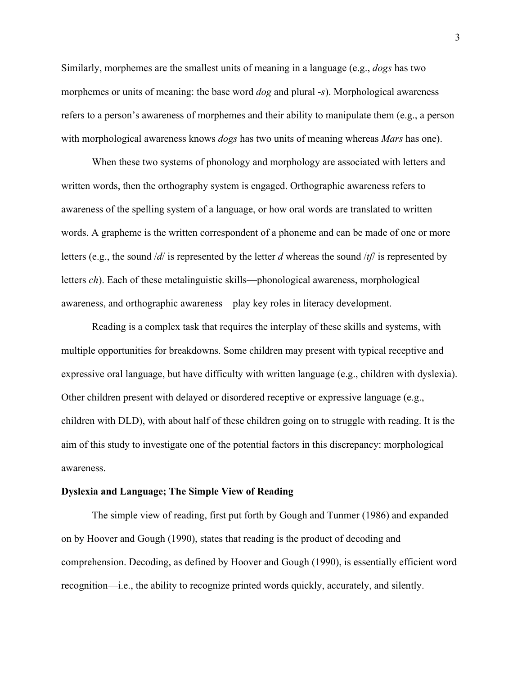Similarly, morphemes are the smallest units of meaning in a language (e.g., *dogs* has two morphemes or units of meaning: the base word *dog* and plural -*s*). Morphological awareness refers to a person's awareness of morphemes and their ability to manipulate them (e.g., a person with morphological awareness knows *dogs* has two units of meaning whereas *Mars* has one).

When these two systems of phonology and morphology are associated with letters and written words, then the orthography system is engaged. Orthographic awareness refers to awareness of the spelling system of a language, or how oral words are translated to written words. A grapheme is the written correspondent of a phoneme and can be made of one or more letters (e.g., the sound /*d*/ is represented by the letter *d* whereas the sound /*tʃ*/ is represented by letters *ch*). Each of these metalinguistic skills—phonological awareness, morphological awareness, and orthographic awareness—play key roles in literacy development.

Reading is a complex task that requires the interplay of these skills and systems, with multiple opportunities for breakdowns. Some children may present with typical receptive and expressive oral language, but have difficulty with written language (e.g., children with dyslexia). Other children present with delayed or disordered receptive or expressive language (e.g., children with DLD), with about half of these children going on to struggle with reading. It is the aim of this study to investigate one of the potential factors in this discrepancy: morphological awareness.

## **Dyslexia and Language; The Simple View of Reading**

The simple view of reading, first put forth by Gough and Tunmer (1986) and expanded on by Hoover and Gough (1990), states that reading is the product of decoding and comprehension. Decoding, as defined by Hoover and Gough (1990), is essentially efficient word recognition—i.e., the ability to recognize printed words quickly, accurately, and silently.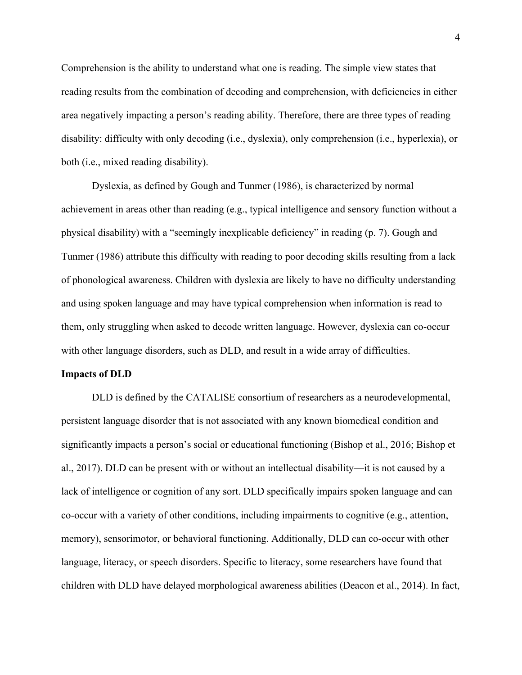Comprehension is the ability to understand what one is reading. The simple view states that reading results from the combination of decoding and comprehension, with deficiencies in either area negatively impacting a person's reading ability. Therefore, there are three types of reading disability: difficulty with only decoding (i.e., dyslexia), only comprehension (i.e., hyperlexia), or both (i.e., mixed reading disability).

Dyslexia, as defined by Gough and Tunmer (1986), is characterized by normal achievement in areas other than reading (e.g., typical intelligence and sensory function without a physical disability) with a "seemingly inexplicable deficiency" in reading (p. 7). Gough and Tunmer (1986) attribute this difficulty with reading to poor decoding skills resulting from a lack of phonological awareness. Children with dyslexia are likely to have no difficulty understanding and using spoken language and may have typical comprehension when information is read to them, only struggling when asked to decode written language. However, dyslexia can co-occur with other language disorders, such as DLD, and result in a wide array of difficulties.

#### **Impacts of DLD**

DLD is defined by the CATALISE consortium of researchers as a neurodevelopmental, persistent language disorder that is not associated with any known biomedical condition and significantly impacts a person's social or educational functioning (Bishop et al., 2016; Bishop et al., 2017). DLD can be present with or without an intellectual disability—it is not caused by a lack of intelligence or cognition of any sort. DLD specifically impairs spoken language and can co-occur with a variety of other conditions, including impairments to cognitive (e.g., attention, memory), sensorimotor, or behavioral functioning. Additionally, DLD can co-occur with other language, literacy, or speech disorders. Specific to literacy, some researchers have found that children with DLD have delayed morphological awareness abilities (Deacon et al., 2014). In fact,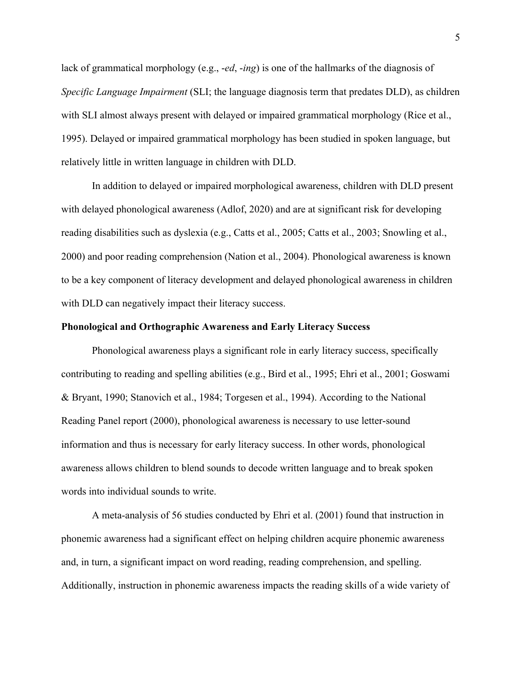lack of grammatical morphology (e.g., -*ed*, -*ing*) is one of the hallmarks of the diagnosis of *Specific Language Impairment* (SLI; the language diagnosis term that predates DLD), as children with SLI almost always present with delayed or impaired grammatical morphology (Rice et al., 1995). Delayed or impaired grammatical morphology has been studied in spoken language, but relatively little in written language in children with DLD.

In addition to delayed or impaired morphological awareness, children with DLD present with delayed phonological awareness (Adlof, 2020) and are at significant risk for developing reading disabilities such as dyslexia (e.g., Catts et al., 2005; Catts et al., 2003; Snowling et al., 2000) and poor reading comprehension (Nation et al., 2004). Phonological awareness is known to be a key component of literacy development and delayed phonological awareness in children with DLD can negatively impact their literacy success.

## **Phonological and Orthographic Awareness and Early Literacy Success**

Phonological awareness plays a significant role in early literacy success, specifically contributing to reading and spelling abilities (e.g., Bird et al., 1995; Ehri et al., 2001; Goswami & Bryant, 1990; Stanovich et al., 1984; Torgesen et al., 1994). According to the National Reading Panel report (2000), phonological awareness is necessary to use letter-sound information and thus is necessary for early literacy success. In other words, phonological awareness allows children to blend sounds to decode written language and to break spoken words into individual sounds to write.

A meta-analysis of 56 studies conducted by Ehri et al. (2001) found that instruction in phonemic awareness had a significant effect on helping children acquire phonemic awareness and, in turn, a significant impact on word reading, reading comprehension, and spelling. Additionally, instruction in phonemic awareness impacts the reading skills of a wide variety of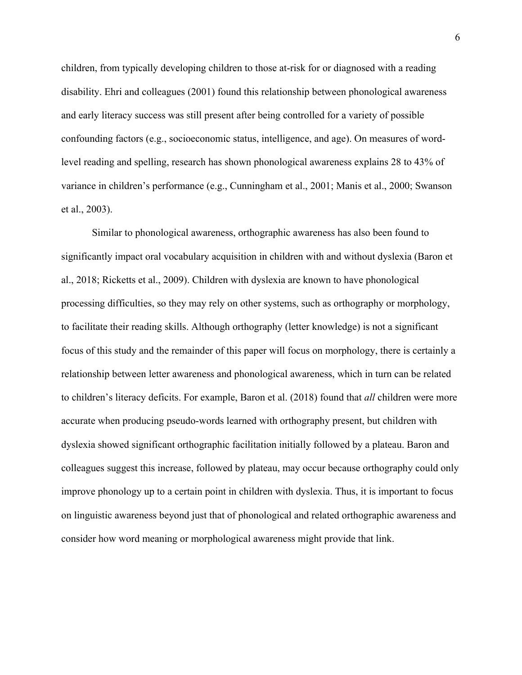children, from typically developing children to those at-risk for or diagnosed with a reading disability. Ehri and colleagues (2001) found this relationship between phonological awareness and early literacy success was still present after being controlled for a variety of possible confounding factors (e.g., socioeconomic status, intelligence, and age). On measures of wordlevel reading and spelling, research has shown phonological awareness explains 28 to 43% of variance in children's performance (e.g., Cunningham et al., 2001; Manis et al., 2000; Swanson et al., 2003).

Similar to phonological awareness, orthographic awareness has also been found to significantly impact oral vocabulary acquisition in children with and without dyslexia (Baron et al., 2018; Ricketts et al., 2009). Children with dyslexia are known to have phonological processing difficulties, so they may rely on other systems, such as orthography or morphology, to facilitate their reading skills. Although orthography (letter knowledge) is not a significant focus of this study and the remainder of this paper will focus on morphology, there is certainly a relationship between letter awareness and phonological awareness, which in turn can be related to children's literacy deficits. For example, Baron et al. (2018) found that *all* children were more accurate when producing pseudo-words learned with orthography present, but children with dyslexia showed significant orthographic facilitation initially followed by a plateau. Baron and colleagues suggest this increase, followed by plateau, may occur because orthography could only improve phonology up to a certain point in children with dyslexia. Thus, it is important to focus on linguistic awareness beyond just that of phonological and related orthographic awareness and consider how word meaning or morphological awareness might provide that link.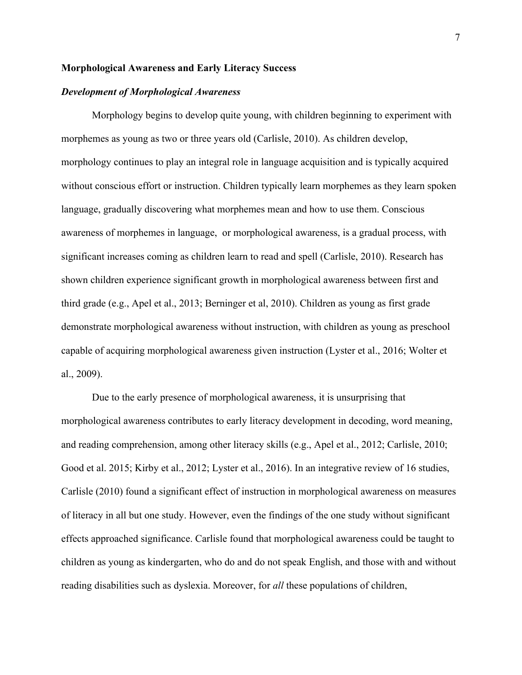## **Morphological Awareness and Early Literacy Success**

## *Development of Morphological Awareness*

Morphology begins to develop quite young, with children beginning to experiment with morphemes as young as two or three years old (Carlisle, 2010). As children develop, morphology continues to play an integral role in language acquisition and is typically acquired without conscious effort or instruction. Children typically learn morphemes as they learn spoken language, gradually discovering what morphemes mean and how to use them. Conscious awareness of morphemes in language, or morphological awareness, is a gradual process, with significant increases coming as children learn to read and spell (Carlisle, 2010). Research has shown children experience significant growth in morphological awareness between first and third grade (e.g., Apel et al., 2013; Berninger et al, 2010). Children as young as first grade demonstrate morphological awareness without instruction, with children as young as preschool capable of acquiring morphological awareness given instruction (Lyster et al., 2016; Wolter et al., 2009).

Due to the early presence of morphological awareness, it is unsurprising that morphological awareness contributes to early literacy development in decoding, word meaning, and reading comprehension, among other literacy skills (e.g., Apel et al., 2012; Carlisle, 2010; Good et al. 2015; Kirby et al., 2012; Lyster et al., 2016). In an integrative review of 16 studies, Carlisle (2010) found a significant effect of instruction in morphological awareness on measures of literacy in all but one study. However, even the findings of the one study without significant effects approached significance. Carlisle found that morphological awareness could be taught to children as young as kindergarten, who do and do not speak English, and those with and without reading disabilities such as dyslexia. Moreover, for *all* these populations of children,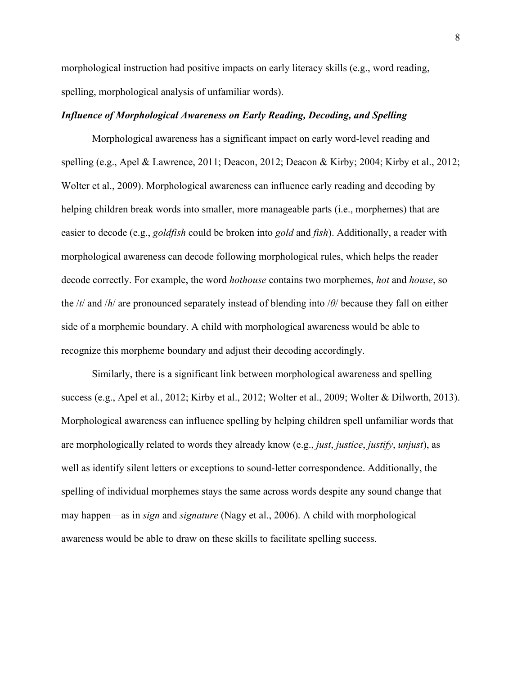morphological instruction had positive impacts on early literacy skills (e.g., word reading, spelling, morphological analysis of unfamiliar words).

## *Influence of Morphological Awareness on Early Reading, Decoding, and Spelling*

Morphological awareness has a significant impact on early word-level reading and spelling (e.g., Apel & Lawrence, 2011; Deacon, 2012; Deacon & Kirby; 2004; Kirby et al., 2012; Wolter et al., 2009). Morphological awareness can influence early reading and decoding by helping children break words into smaller, more manageable parts (i.e., morphemes) that are easier to decode (e.g., *goldfish* could be broken into *gold* and *fish*). Additionally, a reader with morphological awareness can decode following morphological rules, which helps the reader decode correctly. For example, the word *hothouse* contains two morphemes, *hot* and *house*, so the /*t*/ and /*h*/ are pronounced separately instead of blending into /*θ*/ because they fall on either side of a morphemic boundary. A child with morphological awareness would be able to recognize this morpheme boundary and adjust their decoding accordingly.

Similarly, there is a significant link between morphological awareness and spelling success (e.g., Apel et al., 2012; Kirby et al., 2012; Wolter et al., 2009; Wolter & Dilworth, 2013). Morphological awareness can influence spelling by helping children spell unfamiliar words that are morphologically related to words they already know (e.g., *just*, *justice*, *justify*, *unjust*), as well as identify silent letters or exceptions to sound-letter correspondence. Additionally, the spelling of individual morphemes stays the same across words despite any sound change that may happen—as in *sign* and *signature* (Nagy et al., 2006). A child with morphological awareness would be able to draw on these skills to facilitate spelling success.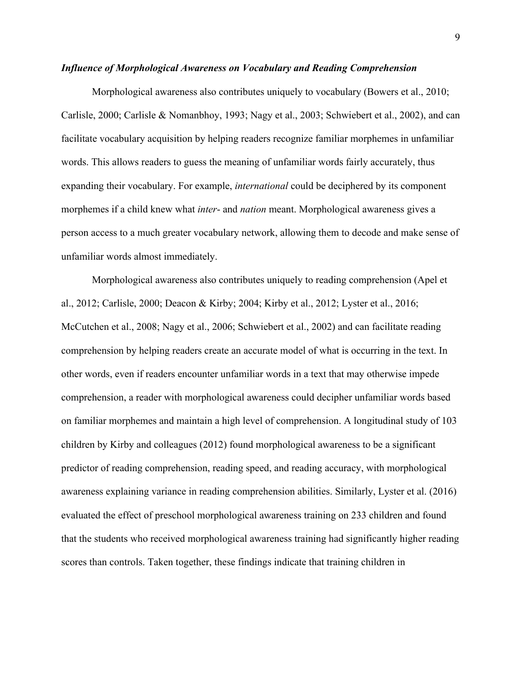### *Influence of Morphological Awareness on Vocabulary and Reading Comprehension*

Morphological awareness also contributes uniquely to vocabulary (Bowers et al., 2010; Carlisle, 2000; Carlisle & Nomanbhoy, 1993; Nagy et al., 2003; Schwiebert et al., 2002), and can facilitate vocabulary acquisition by helping readers recognize familiar morphemes in unfamiliar words. This allows readers to guess the meaning of unfamiliar words fairly accurately, thus expanding their vocabulary. For example, *international* could be deciphered by its component morphemes if a child knew what *inter*- and *nation* meant. Morphological awareness gives a person access to a much greater vocabulary network, allowing them to decode and make sense of unfamiliar words almost immediately.

Morphological awareness also contributes uniquely to reading comprehension (Apel et al., 2012; Carlisle, 2000; Deacon & Kirby; 2004; Kirby et al., 2012; Lyster et al., 2016; McCutchen et al., 2008; Nagy et al., 2006; Schwiebert et al., 2002) and can facilitate reading comprehension by helping readers create an accurate model of what is occurring in the text. In other words, even if readers encounter unfamiliar words in a text that may otherwise impede comprehension, a reader with morphological awareness could decipher unfamiliar words based on familiar morphemes and maintain a high level of comprehension. A longitudinal study of 103 children by Kirby and colleagues (2012) found morphological awareness to be a significant predictor of reading comprehension, reading speed, and reading accuracy, with morphological awareness explaining variance in reading comprehension abilities. Similarly, Lyster et al. (2016) evaluated the effect of preschool morphological awareness training on 233 children and found that the students who received morphological awareness training had significantly higher reading scores than controls. Taken together, these findings indicate that training children in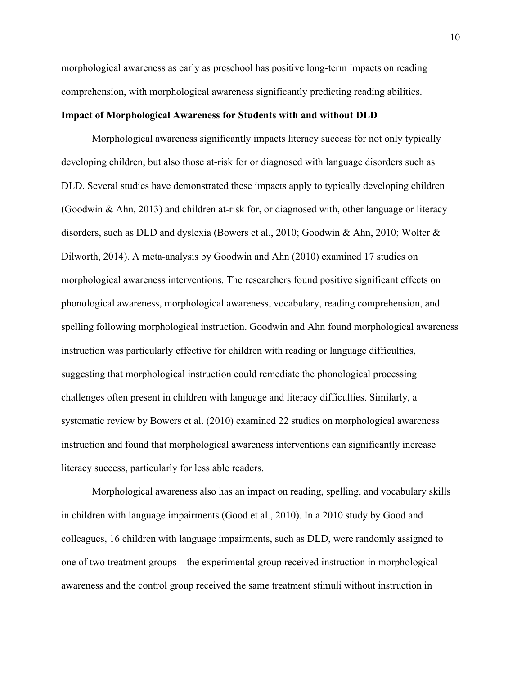morphological awareness as early as preschool has positive long-term impacts on reading comprehension, with morphological awareness significantly predicting reading abilities.

## **Impact of Morphological Awareness for Students with and without DLD**

Morphological awareness significantly impacts literacy success for not only typically developing children, but also those at-risk for or diagnosed with language disorders such as DLD. Several studies have demonstrated these impacts apply to typically developing children (Goodwin & Ahn, 2013) and children at-risk for, or diagnosed with, other language or literacy disorders, such as DLD and dyslexia (Bowers et al., 2010; Goodwin & Ahn, 2010; Wolter & Dilworth, 2014). A meta-analysis by Goodwin and Ahn (2010) examined 17 studies on morphological awareness interventions. The researchers found positive significant effects on phonological awareness, morphological awareness, vocabulary, reading comprehension, and spelling following morphological instruction. Goodwin and Ahn found morphological awareness instruction was particularly effective for children with reading or language difficulties, suggesting that morphological instruction could remediate the phonological processing challenges often present in children with language and literacy difficulties. Similarly, a systematic review by Bowers et al. (2010) examined 22 studies on morphological awareness instruction and found that morphological awareness interventions can significantly increase literacy success, particularly for less able readers.

Morphological awareness also has an impact on reading, spelling, and vocabulary skills in children with language impairments (Good et al., 2010). In a 2010 study by Good and colleagues, 16 children with language impairments, such as DLD, were randomly assigned to one of two treatment groups—the experimental group received instruction in morphological awareness and the control group received the same treatment stimuli without instruction in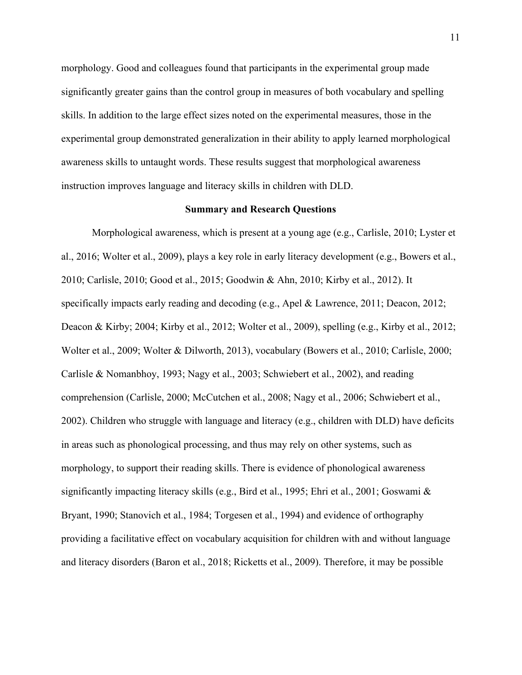morphology. Good and colleagues found that participants in the experimental group made significantly greater gains than the control group in measures of both vocabulary and spelling skills. In addition to the large effect sizes noted on the experimental measures, those in the experimental group demonstrated generalization in their ability to apply learned morphological awareness skills to untaught words. These results suggest that morphological awareness instruction improves language and literacy skills in children with DLD.

## **Summary and Research Questions**

Morphological awareness, which is present at a young age (e.g., Carlisle, 2010; Lyster et al., 2016; Wolter et al., 2009), plays a key role in early literacy development (e.g., Bowers et al., 2010; Carlisle, 2010; Good et al., 2015; Goodwin & Ahn, 2010; Kirby et al., 2012). It specifically impacts early reading and decoding (e.g., Apel & Lawrence, 2011; Deacon, 2012; Deacon & Kirby; 2004; Kirby et al., 2012; Wolter et al., 2009), spelling (e.g., Kirby et al., 2012; Wolter et al., 2009; Wolter & Dilworth, 2013), vocabulary (Bowers et al., 2010; Carlisle, 2000; Carlisle & Nomanbhoy, 1993; Nagy et al., 2003; Schwiebert et al., 2002), and reading comprehension (Carlisle, 2000; McCutchen et al., 2008; Nagy et al., 2006; Schwiebert et al., 2002). Children who struggle with language and literacy (e.g., children with DLD) have deficits in areas such as phonological processing, and thus may rely on other systems, such as morphology, to support their reading skills. There is evidence of phonological awareness significantly impacting literacy skills (e.g., Bird et al., 1995; Ehri et al., 2001; Goswami & Bryant, 1990; Stanovich et al., 1984; Torgesen et al., 1994) and evidence of orthography providing a facilitative effect on vocabulary acquisition for children with and without language and literacy disorders (Baron et al., 2018; Ricketts et al., 2009). Therefore, it may be possible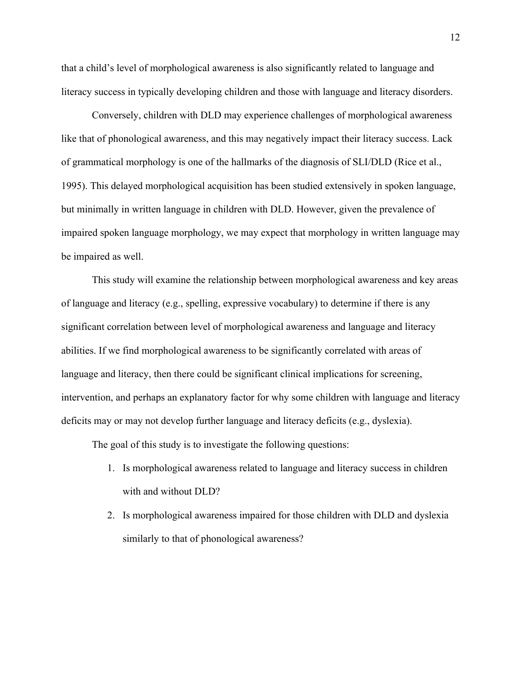that a child's level of morphological awareness is also significantly related to language and literacy success in typically developing children and those with language and literacy disorders.

Conversely, children with DLD may experience challenges of morphological awareness like that of phonological awareness, and this may negatively impact their literacy success. Lack of grammatical morphology is one of the hallmarks of the diagnosis of SLI/DLD (Rice et al., 1995). This delayed morphological acquisition has been studied extensively in spoken language, but minimally in written language in children with DLD. However, given the prevalence of impaired spoken language morphology, we may expect that morphology in written language may be impaired as well.

This study will examine the relationship between morphological awareness and key areas of language and literacy (e.g., spelling, expressive vocabulary) to determine if there is any significant correlation between level of morphological awareness and language and literacy abilities. If we find morphological awareness to be significantly correlated with areas of language and literacy, then there could be significant clinical implications for screening, intervention, and perhaps an explanatory factor for why some children with language and literacy deficits may or may not develop further language and literacy deficits (e.g., dyslexia).

The goal of this study is to investigate the following questions:

- 1. Is morphological awareness related to language and literacy success in children with and without DLD?
- 2. Is morphological awareness impaired for those children with DLD and dyslexia similarly to that of phonological awareness?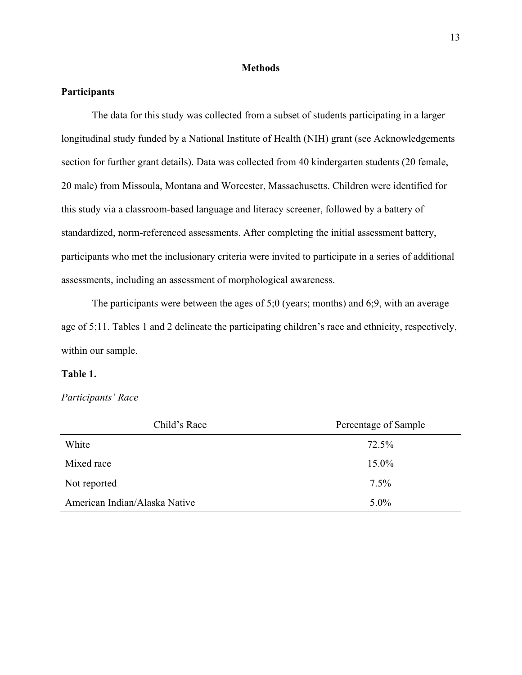### **Methods**

## **Participants**

The data for this study was collected from a subset of students participating in a larger longitudinal study funded by a National Institute of Health (NIH) grant (see Acknowledgements section for further grant details). Data was collected from 40 kindergarten students (20 female, 20 male) from Missoula, Montana and Worcester, Massachusetts. Children were identified for this study via a classroom-based language and literacy screener, followed by a battery of standardized, norm-referenced assessments. After completing the initial assessment battery, participants who met the inclusionary criteria were invited to participate in a series of additional assessments, including an assessment of morphological awareness.

The participants were between the ages of 5;0 (years; months) and 6;9, with an average age of 5;11. Tables 1 and 2 delineate the participating children's race and ethnicity, respectively, within our sample.

## **Table 1.**

## *Participants' Race*

| Child's Race                  | Percentage of Sample |
|-------------------------------|----------------------|
| White                         | 72.5%                |
| Mixed race                    | $15.0\%$             |
| Not reported                  | $7.5\%$              |
| American Indian/Alaska Native | $5.0\%$              |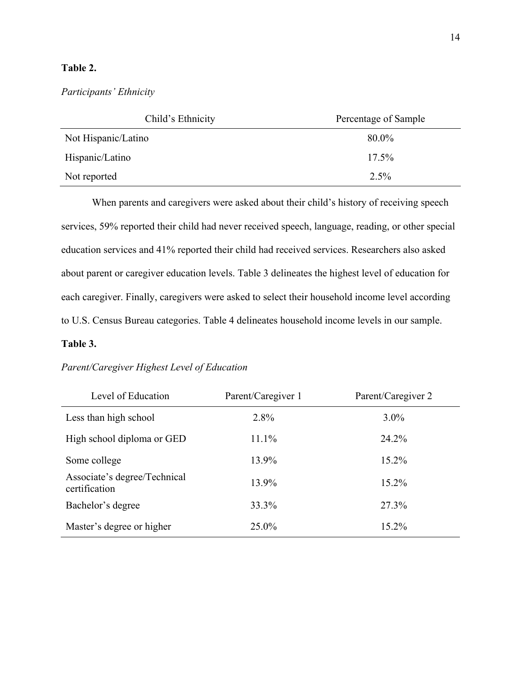## **Table 2.**

*Participants' Ethnicity*

| Child's Ethnicity   | Percentage of Sample |
|---------------------|----------------------|
| Not Hispanic/Latino | 80.0%                |
| Hispanic/Latino     | $17.5\%$             |
| Not reported        | $2.5\%$              |

When parents and caregivers were asked about their child's history of receiving speech services, 59% reported their child had never received speech, language, reading, or other special education services and 41% reported their child had received services. Researchers also asked about parent or caregiver education levels. Table 3 delineates the highest level of education for each caregiver. Finally, caregivers were asked to select their household income level according to U.S. Census Bureau categories. Table 4 delineates household income levels in our sample.

## **Table 3.**

## *Parent/Caregiver Highest Level of Education*

| Level of Education                            | Parent/Caregiver 1 | Parent/Caregiver 2 |
|-----------------------------------------------|--------------------|--------------------|
| Less than high school                         | 2.8%               | $3.0\%$            |
| High school diploma or GED                    | 11.1%              | 24.2%              |
| Some college                                  | 13.9%              | $15.2\%$           |
| Associate's degree/Technical<br>certification | 13.9%              | $15.2\%$           |
| Bachelor's degree                             | 33.3%              | 27.3%              |
| Master's degree or higher                     | $25.0\%$           | $15.2\%$           |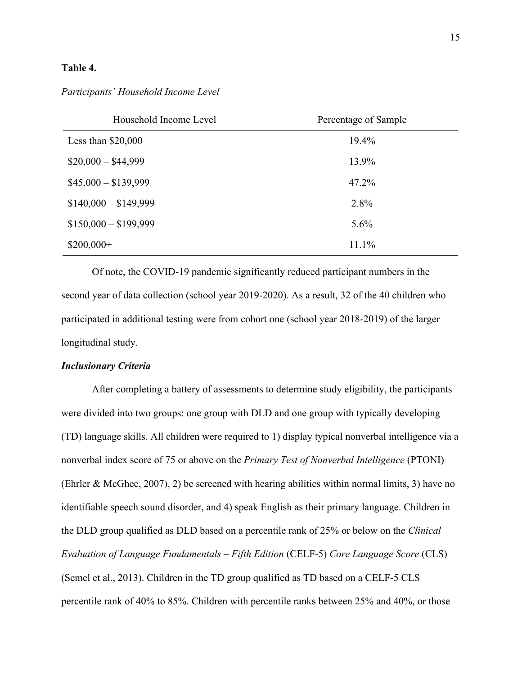## **Table 4.**

| Household Income Level | Percentage of Sample |
|------------------------|----------------------|
| Less than $$20,000$    | 19.4%                |
| $$20,000 - $44,999$    | 13.9%                |
| $$45,000 - $139,999$   | 47.2%                |
| $$140,000 - $149,999$  | 2.8%                 |
| $$150,000 - $199,999$  | 5.6%                 |
| $$200,000+$            | 11.1%                |

## *Participants' Household Income Level*

Of note, the COVID-19 pandemic significantly reduced participant numbers in the second year of data collection (school year 2019-2020). As a result, 32 of the 40 children who participated in additional testing were from cohort one (school year 2018-2019) of the larger longitudinal study.

## *Inclusionary Criteria*

After completing a battery of assessments to determine study eligibility, the participants were divided into two groups: one group with DLD and one group with typically developing (TD) language skills. All children were required to 1) display typical nonverbal intelligence via a nonverbal index score of 75 or above on the *Primary Test of Nonverbal Intelligence* (PTONI) (Ehrler & McGhee, 2007), 2) be screened with hearing abilities within normal limits, 3) have no identifiable speech sound disorder, and 4) speak English as their primary language. Children in the DLD group qualified as DLD based on a percentile rank of 25% or below on the *Clinical Evaluation of Language Fundamentals – Fifth Edition* (CELF-5) *Core Language Score* (CLS) (Semel et al., 2013). Children in the TD group qualified as TD based on a CELF-5 CLS percentile rank of 40% to 85%. Children with percentile ranks between 25% and 40%, or those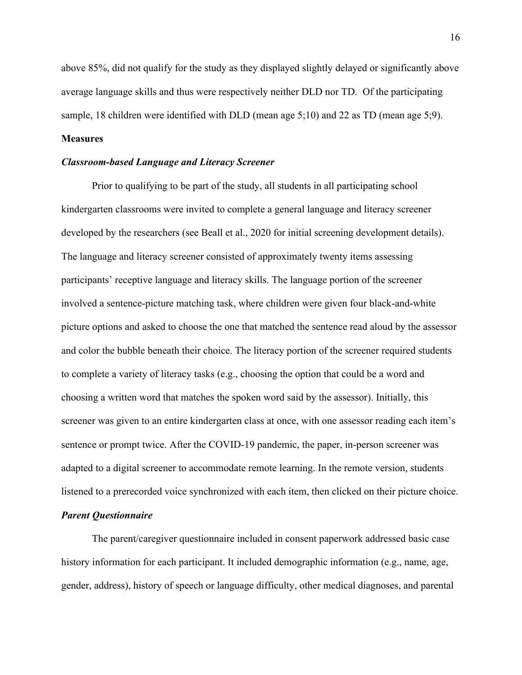above 85%, did not qualify for the study as they displayed slightly delayed or significantly above average language skills and thus were respectively neither DLD nor TD. Of the participating sample, 18 children were identified with DLD (mean age 5;10) and 22 as TD (mean age 5;9).

## **Measures**

#### *Classroom-based Language and Literacy Screener*

Prior to qualifying to be part of the study, all students in all participating school kindergarten classrooms were invited to complete a general language and literacy screener developed by the researchers (see Beall et al., 2020 for initial screening development details). The language and literacy screener consisted of approximately twenty items assessing participants' receptive language and literacy skills. The language portion of the screener involved a sentence-picture matching task, where children were given four black-and-white picture options and asked to choose the one that matched the sentence read aloud by the assessor and color the bubble beneath their choice. The literacy portion of the screener required students to complete a variety of literacy tasks (e.g., choosing the option that could be a word and choosing a written word that matches the spoken word said by the assessor). Initially, this screener was given to an entire kindergarten class at once, with one assessor reading each item's sentence or prompt twice. After the COVID-19 pandemic, the paper, in-person screener was adapted to a digital screener to accommodate remote learning. In the remote version, students listened to a prerecorded voice synchronized with each item, then clicked on their picture choice.

## *Parent Questionnaire*

The parent/caregiver questionnaire included in consent paperwork addressed basic case history information for each participant. It included demographic information (e.g., name, age, gender, address), history of speech or language difficulty, other medical diagnoses, and parental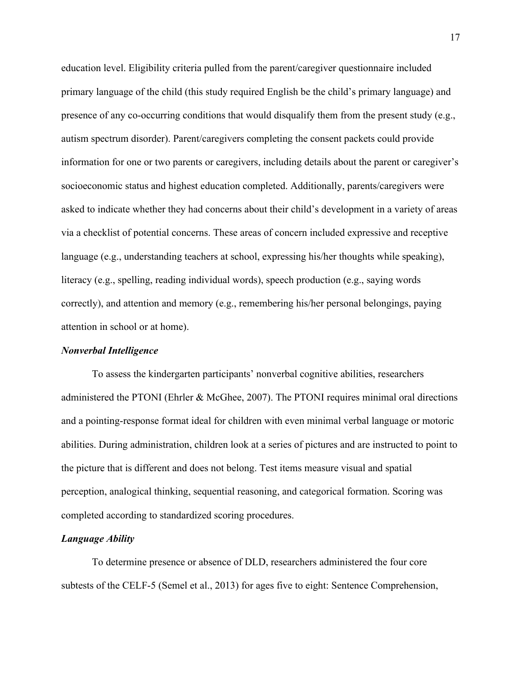education level. Eligibility criteria pulled from the parent/caregiver questionnaire included primary language of the child (this study required English be the child's primary language) and presence of any co-occurring conditions that would disqualify them from the present study (e.g., autism spectrum disorder). Parent/caregivers completing the consent packets could provide information for one or two parents or caregivers, including details about the parent or caregiver's socioeconomic status and highest education completed. Additionally, parents/caregivers were asked to indicate whether they had concerns about their child's development in a variety of areas via a checklist of potential concerns. These areas of concern included expressive and receptive language (e.g., understanding teachers at school, expressing his/her thoughts while speaking), literacy (e.g., spelling, reading individual words), speech production (e.g., saying words correctly), and attention and memory (e.g., remembering his/her personal belongings, paying attention in school or at home).

#### *Nonverbal Intelligence*

To assess the kindergarten participants' nonverbal cognitive abilities, researchers administered the PTONI (Ehrler & McGhee, 2007). The PTONI requires minimal oral directions and a pointing-response format ideal for children with even minimal verbal language or motoric abilities. During administration, children look at a series of pictures and are instructed to point to the picture that is different and does not belong. Test items measure visual and spatial perception, analogical thinking, sequential reasoning, and categorical formation. Scoring was completed according to standardized scoring procedures.

## *Language Ability*

To determine presence or absence of DLD, researchers administered the four core subtests of the CELF-5 (Semel et al., 2013) for ages five to eight: Sentence Comprehension,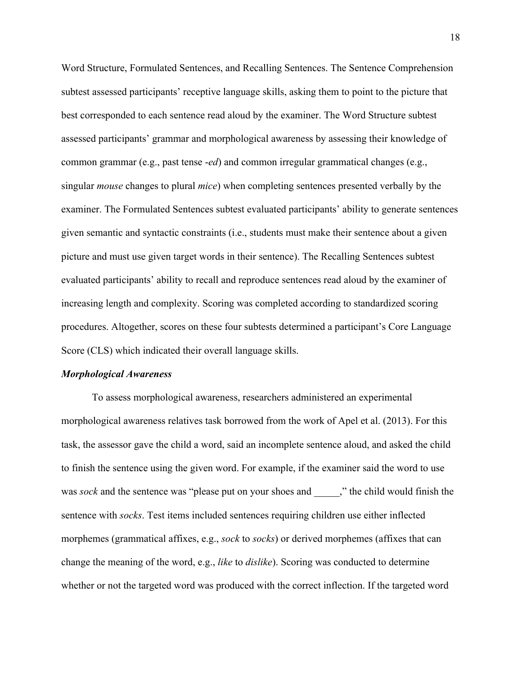Word Structure, Formulated Sentences, and Recalling Sentences. The Sentence Comprehension subtest assessed participants' receptive language skills, asking them to point to the picture that best corresponded to each sentence read aloud by the examiner. The Word Structure subtest assessed participants' grammar and morphological awareness by assessing their knowledge of common grammar (e.g., past tense -*ed*) and common irregular grammatical changes (e.g., singular *mouse* changes to plural *mice*) when completing sentences presented verbally by the examiner. The Formulated Sentences subtest evaluated participants' ability to generate sentences given semantic and syntactic constraints (i.e., students must make their sentence about a given picture and must use given target words in their sentence). The Recalling Sentences subtest evaluated participants' ability to recall and reproduce sentences read aloud by the examiner of increasing length and complexity. Scoring was completed according to standardized scoring procedures. Altogether, scores on these four subtests determined a participant's Core Language Score (CLS) which indicated their overall language skills.

#### *Morphological Awareness*

To assess morphological awareness, researchers administered an experimental morphological awareness relatives task borrowed from the work of Apel et al. (2013). For this task, the assessor gave the child a word, said an incomplete sentence aloud, and asked the child to finish the sentence using the given word. For example, if the examiner said the word to use was *sock* and the sentence was "please put on your shoes and \_\_\_\_\_," the child would finish the sentence with *socks*. Test items included sentences requiring children use either inflected morphemes (grammatical affixes, e.g., *sock* to *socks*) or derived morphemes (affixes that can change the meaning of the word, e.g., *like* to *dislike*). Scoring was conducted to determine whether or not the targeted word was produced with the correct inflection. If the targeted word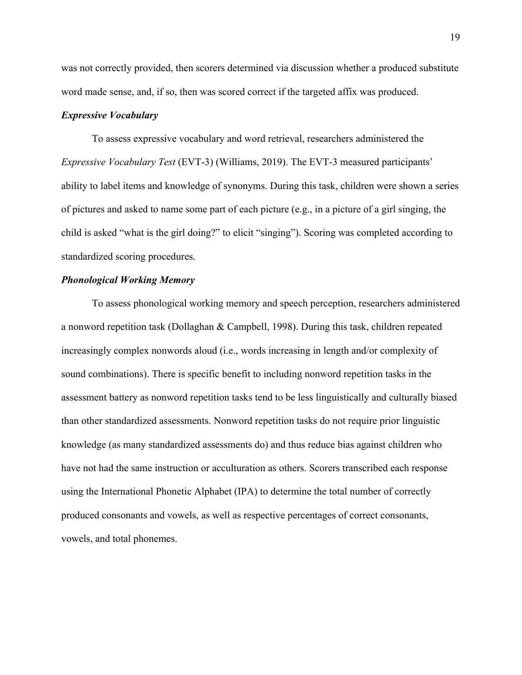was not correctly provided, then scorers determined via discussion whether a produced substitute word made sense, and, if so, then was scored correct if the targeted affix was produced.

#### *Expressive Vocabulary*

To assess expressive vocabulary and word retrieval, researchers administered the *Expressive Vocabulary Test* (EVT-3) (Williams, 2019). The EVT-3 measured participants' ability to label items and knowledge of synonyms. During this task, children were shown a series of pictures and asked to name some part of each picture (e.g., in a picture of a girl singing, the child is asked "what is the girl doing?" to elicit "singing"). Scoring was completed according to standardized scoring procedures.

## *Phonological Working Memory*

To assess phonological working memory and speech perception, researchers administered a nonword repetition task (Dollaghan & Campbell, 1998). During this task, children repeated increasingly complex nonwords aloud (i.e., words increasing in length and/or complexity of sound combinations). There is specific benefit to including nonword repetition tasks in the assessment battery as nonword repetition tasks tend to be less linguistically and culturally biased than other standardized assessments. Nonword repetition tasks do not require prior linguistic knowledge (as many standardized assessments do) and thus reduce bias against children who have not had the same instruction or acculturation as others. Scorers transcribed each response using the International Phonetic Alphabet (IPA) to determine the total number of correctly produced consonants and vowels, as well as respective percentages of correct consonants, vowels, and total phonemes.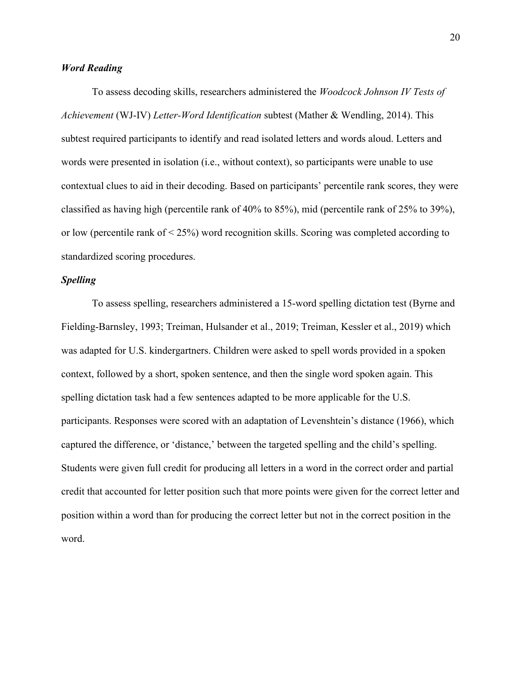## *Word Reading*

To assess decoding skills, researchers administered the *Woodcock Johnson IV Tests of Achievement* (WJ-IV) *Letter-Word Identification* subtest (Mather & Wendling, 2014). This subtest required participants to identify and read isolated letters and words aloud. Letters and words were presented in isolation (i.e., without context), so participants were unable to use contextual clues to aid in their decoding. Based on participants' percentile rank scores, they were classified as having high (percentile rank of 40% to 85%), mid (percentile rank of 25% to 39%), or low (percentile rank of < 25%) word recognition skills. Scoring was completed according to standardized scoring procedures.

## *Spelling*

To assess spelling, researchers administered a 15-word spelling dictation test (Byrne and Fielding-Barnsley, 1993; Treiman, Hulsander et al., 2019; Treiman, Kessler et al., 2019) which was adapted for U.S. kindergartners. Children were asked to spell words provided in a spoken context, followed by a short, spoken sentence, and then the single word spoken again. This spelling dictation task had a few sentences adapted to be more applicable for the U.S. participants. Responses were scored with an adaptation of Levenshtein's distance (1966), which captured the difference, or 'distance,' between the targeted spelling and the child's spelling. Students were given full credit for producing all letters in a word in the correct order and partial credit that accounted for letter position such that more points were given for the correct letter and position within a word than for producing the correct letter but not in the correct position in the word.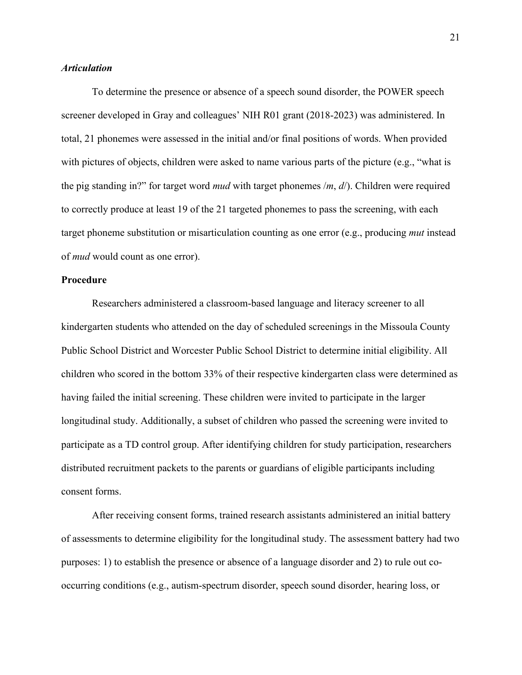## *Articulation*

To determine the presence or absence of a speech sound disorder, the POWER speech screener developed in Gray and colleagues' NIH R01 grant (2018-2023) was administered. In total, 21 phonemes were assessed in the initial and/or final positions of words. When provided with pictures of objects, children were asked to name various parts of the picture (e.g., "what is the pig standing in?" for target word *mud* with target phonemes /*m*, *d*/). Children were required to correctly produce at least 19 of the 21 targeted phonemes to pass the screening, with each target phoneme substitution or misarticulation counting as one error (e.g., producing *mut* instead of *mud* would count as one error).

## **Procedure**

Researchers administered a classroom-based language and literacy screener to all kindergarten students who attended on the day of scheduled screenings in the Missoula County Public School District and Worcester Public School District to determine initial eligibility. All children who scored in the bottom 33% of their respective kindergarten class were determined as having failed the initial screening. These children were invited to participate in the larger longitudinal study. Additionally, a subset of children who passed the screening were invited to participate as a TD control group. After identifying children for study participation, researchers distributed recruitment packets to the parents or guardians of eligible participants including consent forms.

After receiving consent forms, trained research assistants administered an initial battery of assessments to determine eligibility for the longitudinal study. The assessment battery had two purposes: 1) to establish the presence or absence of a language disorder and 2) to rule out cooccurring conditions (e.g., autism-spectrum disorder, speech sound disorder, hearing loss, or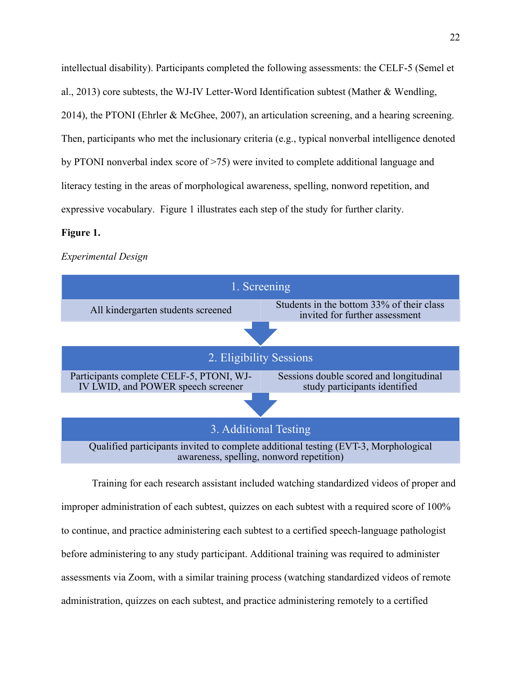intellectual disability). Participants completed the following assessments: the CELF-5 (Semel et al., 2013) core subtests, the WJ-IV Letter-Word Identification subtest (Mather & Wendling, 2014), the PTONI (Ehrler & McGhee, 2007), an articulation screening, and a hearing screening. Then, participants who met the inclusionary criteria (e.g., typical nonverbal intelligence denoted by PTONI nonverbal index score of >75) were invited to complete additional language and literacy testing in the areas of morphological awareness, spelling, nonword repetition, and expressive vocabulary. Figure 1 illustrates each step of the study for further clarity.

#### **Figure 1.**

#### *Experimental Design*



Training for each research assistant included watching standardized videos of proper and improper administration of each subtest, quizzes on each subtest with a required score of 100% to continue, and practice administering each subtest to a certified speech-language pathologist before administering to any study participant. Additional training was required to administer assessments via Zoom, with a similar training process (watching standardized videos of remote administration, quizzes on each subtest, and practice administering remotely to a certified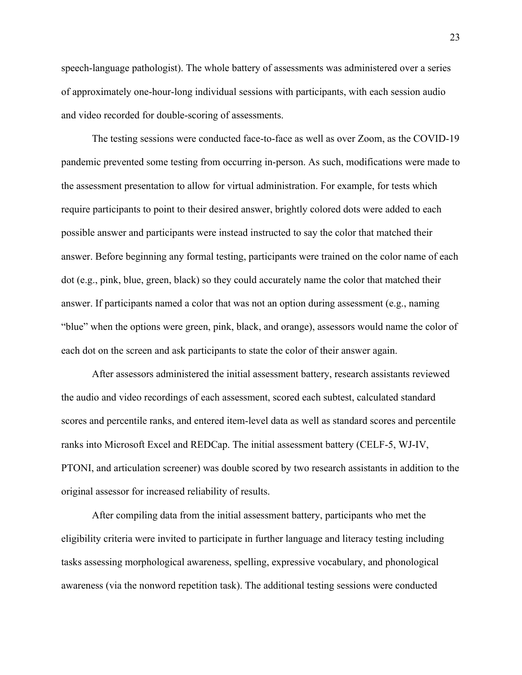speech-language pathologist). The whole battery of assessments was administered over a series of approximately one-hour-long individual sessions with participants, with each session audio and video recorded for double-scoring of assessments.

The testing sessions were conducted face-to-face as well as over Zoom, as the COVID-19 pandemic prevented some testing from occurring in-person. As such, modifications were made to the assessment presentation to allow for virtual administration. For example, for tests which require participants to point to their desired answer, brightly colored dots were added to each possible answer and participants were instead instructed to say the color that matched their answer. Before beginning any formal testing, participants were trained on the color name of each dot (e.g., pink, blue, green, black) so they could accurately name the color that matched their answer. If participants named a color that was not an option during assessment (e.g., naming "blue" when the options were green, pink, black, and orange), assessors would name the color of each dot on the screen and ask participants to state the color of their answer again.

After assessors administered the initial assessment battery, research assistants reviewed the audio and video recordings of each assessment, scored each subtest, calculated standard scores and percentile ranks, and entered item-level data as well as standard scores and percentile ranks into Microsoft Excel and REDCap. The initial assessment battery (CELF-5, WJ-IV, PTONI, and articulation screener) was double scored by two research assistants in addition to the original assessor for increased reliability of results.

After compiling data from the initial assessment battery, participants who met the eligibility criteria were invited to participate in further language and literacy testing including tasks assessing morphological awareness, spelling, expressive vocabulary, and phonological awareness (via the nonword repetition task). The additional testing sessions were conducted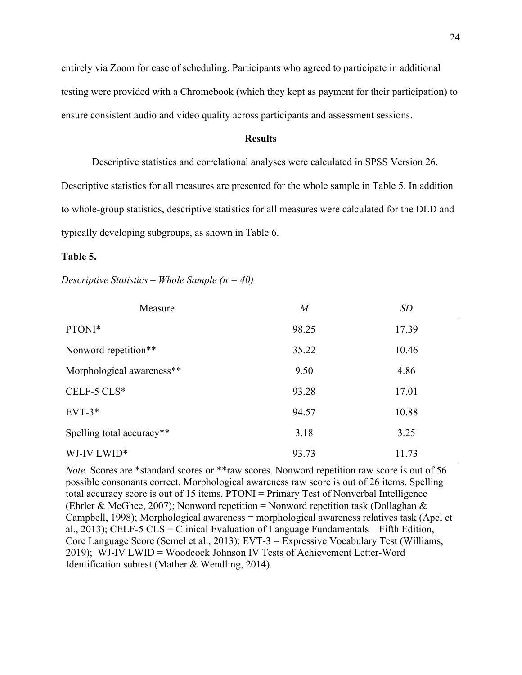entirely via Zoom for ease of scheduling. Participants who agreed to participate in additional testing were provided with a Chromebook (which they kept as payment for their participation) to ensure consistent audio and video quality across participants and assessment sessions.

### **Results**

Descriptive statistics and correlational analyses were calculated in SPSS Version 26.

Descriptive statistics for all measures are presented for the whole sample in Table 5. In addition to whole-group statistics, descriptive statistics for all measures were calculated for the DLD and typically developing subgroups, as shown in Table 6.

#### **Table 5.**

*Descriptive Statistics – Whole Sample (n = 40)*

| Measure                   | $\boldsymbol{M}$ | SD    |
|---------------------------|------------------|-------|
| PTONI*                    | 98.25            | 17.39 |
| Nonword repetition**      | 35.22            | 10.46 |
| Morphological awareness** | 9.50             | 4.86  |
| CELF-5 $CLS*$             | 93.28            | 17.01 |
| $EVT-3*$                  | 94.57            | 10.88 |
| Spelling total accuracy** | 3.18             | 3.25  |
| WJ-IV LWID*               | 93.73            | 11.73 |

*Note.* Scores are \*standard scores or \*\*raw scores. Nonword repetition raw score is out of 56 possible consonants correct. Morphological awareness raw score is out of 26 items. Spelling total accuracy score is out of 15 items. PTONI = Primary Test of Nonverbal Intelligence (Ehrler & McGhee, 2007); Nonword repetition = Nonword repetition task (Dollaghan & Campbell, 1998); Morphological awareness = morphological awareness relatives task (Apel et al., 2013); CELF-5 CLS = Clinical Evaluation of Language Fundamentals – Fifth Edition, Core Language Score (Semel et al., 2013); EVT-3 = Expressive Vocabulary Test (Williams, 2019); WJ-IV LWID = Woodcock Johnson IV Tests of Achievement Letter-Word Identification subtest (Mather & Wendling, 2014).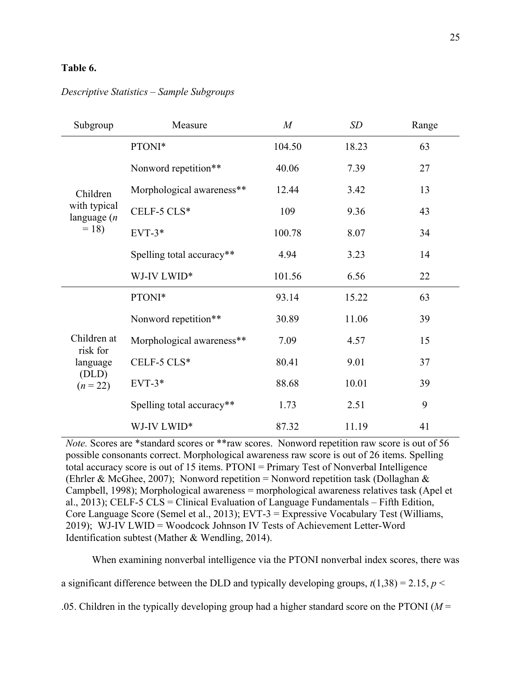## **Table 6.**

## *Descriptive Statistics – Sample Subgroups*

| Subgroup                                    | Measure                   | $\overline{M}$ | <b>SD</b> | Range |
|---------------------------------------------|---------------------------|----------------|-----------|-------|
|                                             | PTONI*                    | 104.50         | 18.23     | 63    |
|                                             | Nonword repetition**      | 40.06          | 7.39      | 27    |
| Children                                    | Morphological awareness** | 12.44          | 3.42      | 13    |
| with typical<br>language $(n)$              | CELF-5 CLS*               | 109            | 9.36      | 43    |
| $= 18$                                      | $EVT-3*$                  | 100.78         | 8.07      | 34    |
|                                             | Spelling total accuracy** | 4.94           | 3.23      | 14    |
|                                             | WJ-IV LWID*               | 101.56         | 6.56      | 22    |
|                                             | PTONI*                    | 93.14          | 15.22     | 63    |
|                                             | Nonword repetition**      | 30.89          | 11.06     | 39    |
| Children at                                 | Morphological awareness** | 7.09           | 4.57      | 15    |
| risk for<br>language<br>(DLD)<br>$(n = 22)$ | CELF-5 CLS*               | 80.41          | 9.01      | 37    |
|                                             | $EVT-3*$                  | 88.68          | 10.01     | 39    |
|                                             | Spelling total accuracy** | 1.73           | 2.51      | 9     |
|                                             | WJ-IV LWID*               | 87.32          | 11.19     | 41    |

*Note.* Scores are \*standard scores or \*\*raw scores. Nonword repetition raw score is out of 56 possible consonants correct. Morphological awareness raw score is out of 26 items. Spelling total accuracy score is out of 15 items. PTONI = Primary Test of Nonverbal Intelligence (Ehrler & McGhee, 2007); Nonword repetition = Nonword repetition task (Dollaghan & Campbell, 1998); Morphological awareness = morphological awareness relatives task (Apel et al., 2013); CELF-5 CLS = Clinical Evaluation of Language Fundamentals – Fifth Edition, Core Language Score (Semel et al., 2013); EVT-3 = Expressive Vocabulary Test (Williams, 2019); WJ-IV LWID = Woodcock Johnson IV Tests of Achievement Letter-Word Identification subtest (Mather & Wendling, 2014).

When examining nonverbal intelligence via the PTONI nonverbal index scores, there was

a significant difference between the DLD and typically developing groups,  $t(1,38) = 2.15$ ,  $p <$ 

.05. Children in the typically developing group had a higher standard score on the PTONI (*M* =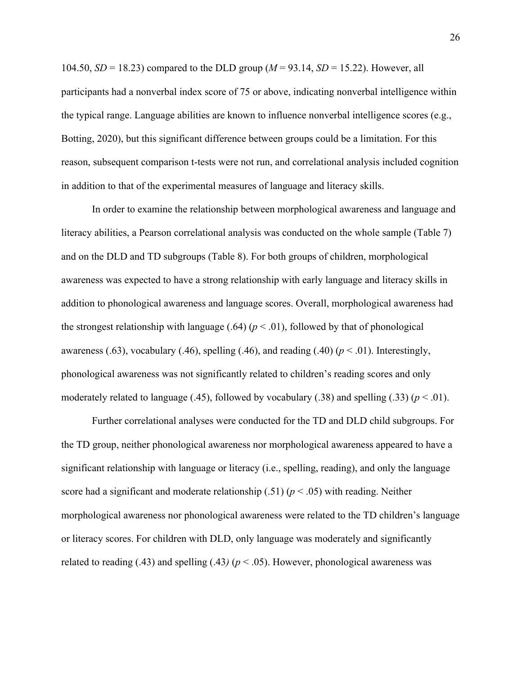104.50, *SD* = 18.23) compared to the DLD group (*M* = 93.14, *SD* = 15.22). However, all participants had a nonverbal index score of 75 or above, indicating nonverbal intelligence within the typical range. Language abilities are known to influence nonverbal intelligence scores (e.g., Botting, 2020), but this significant difference between groups could be a limitation. For this reason, subsequent comparison t-tests were not run, and correlational analysis included cognition in addition to that of the experimental measures of language and literacy skills.

In order to examine the relationship between morphological awareness and language and literacy abilities, a Pearson correlational analysis was conducted on the whole sample (Table 7) and on the DLD and TD subgroups (Table 8). For both groups of children, morphological awareness was expected to have a strong relationship with early language and literacy skills in addition to phonological awareness and language scores. Overall, morphological awareness had the strongest relationship with language  $(.64)$  ( $p < .01$ ), followed by that of phonological awareness (.63), vocabulary (.46), spelling (.46), and reading (.40)  $(p < .01)$ . Interestingly, phonological awareness was not significantly related to children's reading scores and only moderately related to language  $(.45)$ , followed by vocabulary  $(.38)$  and spelling  $(.33)$   $(p < .01)$ .

Further correlational analyses were conducted for the TD and DLD child subgroups. For the TD group, neither phonological awareness nor morphological awareness appeared to have a significant relationship with language or literacy (i.e., spelling, reading), and only the language score had a significant and moderate relationship  $(.51)$   $(p < .05)$  with reading. Neither morphological awareness nor phonological awareness were related to the TD children's language or literacy scores. For children with DLD, only language was moderately and significantly related to reading (.43) and spelling (.43)  $(p < .05)$ . However, phonological awareness was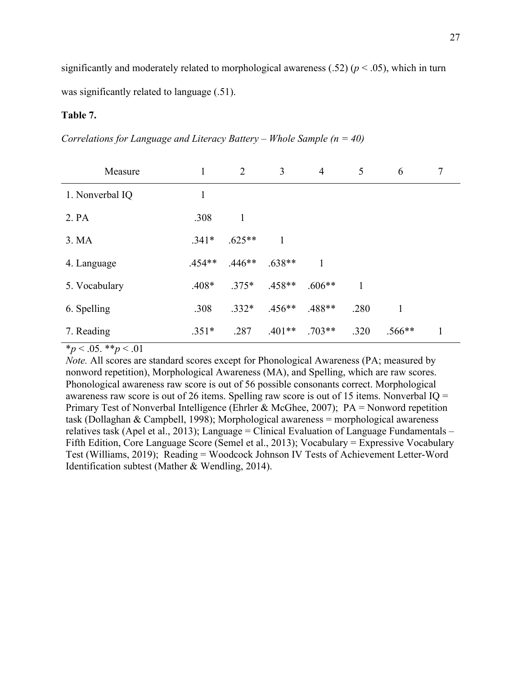significantly and moderately related to morphological awareness  $(.52)$  ( $p < .05$ ), which in turn was significantly related to language  $(.51)$ .

## **Table 7.**

*Correlations for Language and Literacy Battery – Whole Sample (n = 40)*

| Measure         | 1        | 2            | 3        | $\overline{4}$ | 5    | 6            | 7 |
|-----------------|----------|--------------|----------|----------------|------|--------------|---|
| 1. Nonverbal IQ | 1        |              |          |                |      |              |   |
| 2. PA           | .308     | $\mathbf{1}$ |          |                |      |              |   |
| 3. MA           | $.341*$  | $.625**$     | 1        |                |      |              |   |
| 4. Language     | $.454**$ | $.446**$     | $.638**$ | 1              |      |              |   |
| 5. Vocabulary   | $.408*$  | $.375*$      | $.458**$ | $.606**$       | 1    |              |   |
| 6. Spelling     | .308     | $.332*$      | $.456**$ | $.488**$       | .280 | $\mathbf{1}$ |   |
| 7. Reading      | $.351*$  | .287         | $.401**$ | $.703**$       | .320 | $.566**$     |   |

 $*_{p}$  < .05. \*\**p* < .01

*Note.* All scores are standard scores except for Phonological Awareness (PA; measured by nonword repetition), Morphological Awareness (MA), and Spelling, which are raw scores. Phonological awareness raw score is out of 56 possible consonants correct. Morphological awareness raw score is out of 26 items. Spelling raw score is out of 15 items. Nonverbal IQ = Primary Test of Nonverbal Intelligence (Ehrler & McGhee, 2007); PA = Nonword repetition task (Dollaghan & Campbell, 1998); Morphological awareness = morphological awareness relatives task (Apel et al., 2013); Language = Clinical Evaluation of Language Fundamentals – Fifth Edition, Core Language Score (Semel et al., 2013); Vocabulary = Expressive Vocabulary Test (Williams, 2019); Reading = Woodcock Johnson IV Tests of Achievement Letter-Word Identification subtest (Mather & Wendling, 2014).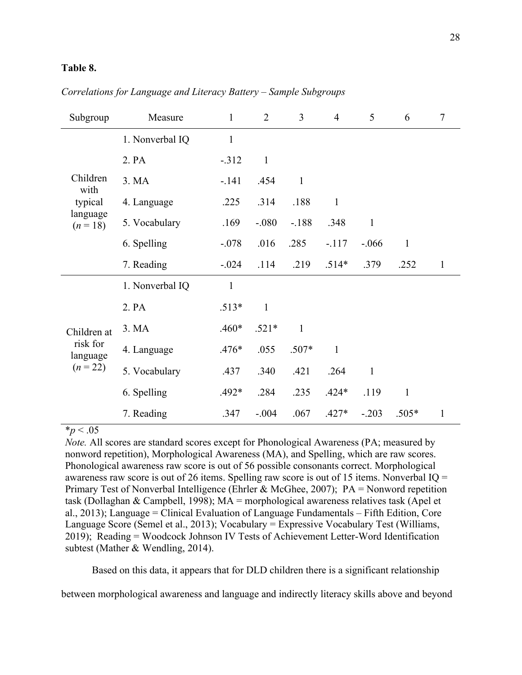## **Table 8.**

| Subgroup                                          | Measure         | $\mathbf{1}$ | $\overline{2}$ | $\overline{3}$ | $\overline{4}$ | 5            | 6            | $\tau$       |
|---------------------------------------------------|-----------------|--------------|----------------|----------------|----------------|--------------|--------------|--------------|
|                                                   | 1. Nonverbal IQ | $\mathbf{1}$ |                |                |                |              |              |              |
|                                                   | 2. PA           | $-.312$      | $\mathbf{1}$   |                |                |              |              |              |
| Children<br>with                                  | 3. MA           | $-.141$      | .454           | $\mathbf{1}$   |                |              |              |              |
| typical                                           | 4. Language     | .225         | .314           | .188           | $\mathbf{1}$   |              |              |              |
| language<br>$(n = 18)$                            | 5. Vocabulary   | .169         | $-.080$        | $-.188$        | .348           | $\mathbf{1}$ |              |              |
|                                                   | 6. Spelling     | $-.078$      | .016           | .285           | $-.117$        | $-.066$      | $\mathbf{1}$ |              |
|                                                   | 7. Reading      | $-.024$      | .114           | .219           | $.514*$        | .379         | .252         | $\mathbf{1}$ |
|                                                   | 1. Nonverbal IQ | $\mathbf{1}$ |                |                |                |              |              |              |
|                                                   | 2. PA           | $.513*$      | $\mathbf{1}$   |                |                |              |              |              |
| Children at<br>risk for<br>language<br>$(n = 22)$ | 3. MA           | $.460*$      | $.521*$        | $\mathbf{1}$   |                |              |              |              |
|                                                   | 4. Language     | $.476*$      | .055           | $.507*$        | $\mathbf{1}$   |              |              |              |
|                                                   | 5. Vocabulary   | .437         | .340           | .421           | .264           | $\mathbf{1}$ |              |              |
|                                                   | 6. Spelling     | $.492*$      | .284           | .235           | $.424*$        | .119         | $\mathbf{1}$ |              |
|                                                   | 7. Reading      | .347         | $-.004$        | .067           | $.427*$        | $-.203$      | $.505*$      | $\mathbf{1}$ |

## *Correlations for Language and Literacy Battery – Sample Subgroups*

 $*_{p}$  < .05

*Note.* All scores are standard scores except for Phonological Awareness (PA; measured by nonword repetition), Morphological Awareness (MA), and Spelling, which are raw scores. Phonological awareness raw score is out of 56 possible consonants correct. Morphological awareness raw score is out of 26 items. Spelling raw score is out of 15 items. Nonverbal IQ = Primary Test of Nonverbal Intelligence (Ehrler & McGhee, 2007); PA = Nonword repetition task (Dollaghan & Campbell, 1998); MA = morphological awareness relatives task (Apel et al., 2013); Language = Clinical Evaluation of Language Fundamentals – Fifth Edition, Core Language Score (Semel et al., 2013); Vocabulary = Expressive Vocabulary Test (Williams, 2019); Reading = Woodcock Johnson IV Tests of Achievement Letter-Word Identification subtest (Mather & Wendling, 2014).

Based on this data, it appears that for DLD children there is a significant relationship

between morphological awareness and language and indirectly literacy skills above and beyond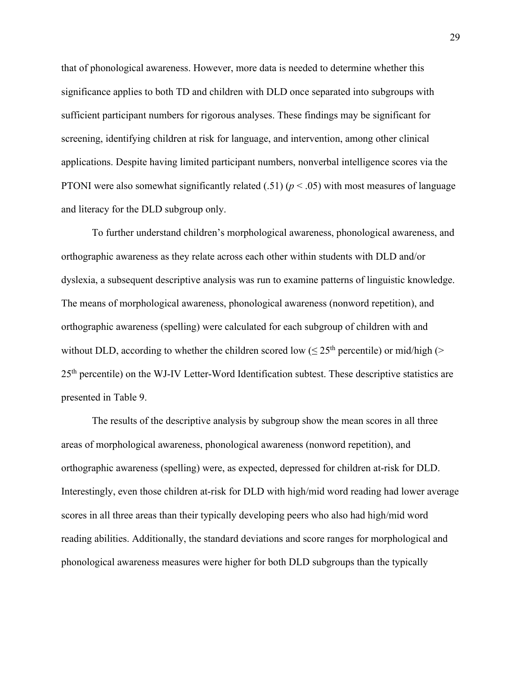that of phonological awareness. However, more data is needed to determine whether this significance applies to both TD and children with DLD once separated into subgroups with sufficient participant numbers for rigorous analyses. These findings may be significant for screening, identifying children at risk for language, and intervention, among other clinical applications. Despite having limited participant numbers, nonverbal intelligence scores via the PTONI were also somewhat significantly related (.51) ( $p < .05$ ) with most measures of language and literacy for the DLD subgroup only.

To further understand children's morphological awareness, phonological awareness, and orthographic awareness as they relate across each other within students with DLD and/or dyslexia, a subsequent descriptive analysis was run to examine patterns of linguistic knowledge. The means of morphological awareness, phonological awareness (nonword repetition), and orthographic awareness (spelling) were calculated for each subgroup of children with and without DLD, according to whether the children scored low ( $\leq 25$ <sup>th</sup> percentile) or mid/high (> 25th percentile) on the WJ-IV Letter-Word Identification subtest. These descriptive statistics are presented in Table 9.

The results of the descriptive analysis by subgroup show the mean scores in all three areas of morphological awareness, phonological awareness (nonword repetition), and orthographic awareness (spelling) were, as expected, depressed for children at-risk for DLD. Interestingly, even those children at-risk for DLD with high/mid word reading had lower average scores in all three areas than their typically developing peers who also had high/mid word reading abilities. Additionally, the standard deviations and score ranges for morphological and phonological awareness measures were higher for both DLD subgroups than the typically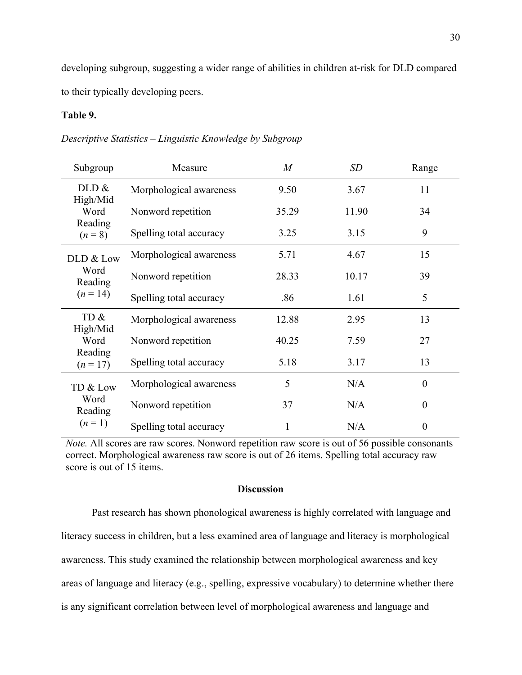developing subgroup, suggesting a wider range of abilities in children at-risk for DLD compared to their typically developing peers.

## **Table 9.**

|  |  | Descriptive Statistics - Linguistic Knowledge by Subgroup |
|--|--|-----------------------------------------------------------|
|  |  |                                                           |

| Subgroup                               | Measure                 | $\overline{M}$ | SD    | Range            |
|----------------------------------------|-------------------------|----------------|-------|------------------|
| DLD &                                  | Morphological awareness | 9.50           | 3.67  | 11               |
| High/Mid<br>Word                       | Nonword repetition      | 35.29          | 11.90 | 34               |
| Reading<br>$(n = 8)$                   | Spelling total accuracy | 3.25           | 3.15  | 9                |
| DLD & Low                              | Morphological awareness | 5.71           | 4.67  | 15               |
| Word<br>Reading<br>$(n=14)$            | Nonword repetition      | 28.33          | 10.17 | 39               |
|                                        | Spelling total accuracy | .86            | 1.61  | 5                |
| TD &                                   | Morphological awareness | 12.88          | 2.95  | 13               |
| High/Mid<br>Word                       | Nonword repetition      | 40.25          | 7.59  | 27               |
| Reading<br>$(n = 17)$                  | Spelling total accuracy | 5.18           | 3.17  | 13               |
| TD & Low<br>Word<br>Reading<br>$(n=1)$ | Morphological awareness | 5              | N/A   | $\boldsymbol{0}$ |
|                                        | Nonword repetition      | 37             | N/A   | $\theta$         |
|                                        | Spelling total accuracy |                | N/A   | $\boldsymbol{0}$ |

*Note.* All scores are raw scores. Nonword repetition raw score is out of 56 possible consonants correct. Morphological awareness raw score is out of 26 items. Spelling total accuracy raw score is out of 15 items.

## **Discussion**

Past research has shown phonological awareness is highly correlated with language and literacy success in children, but a less examined area of language and literacy is morphological awareness. This study examined the relationship between morphological awareness and key areas of language and literacy (e.g., spelling, expressive vocabulary) to determine whether there is any significant correlation between level of morphological awareness and language and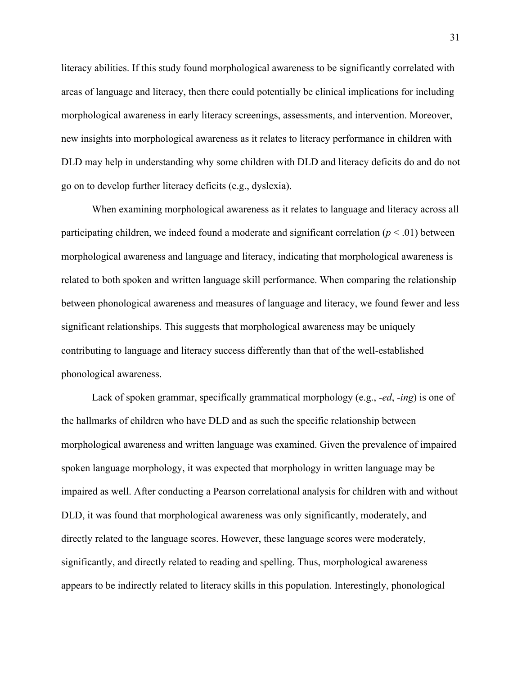literacy abilities. If this study found morphological awareness to be significantly correlated with areas of language and literacy, then there could potentially be clinical implications for including morphological awareness in early literacy screenings, assessments, and intervention. Moreover, new insights into morphological awareness as it relates to literacy performance in children with DLD may help in understanding why some children with DLD and literacy deficits do and do not go on to develop further literacy deficits (e.g., dyslexia).

When examining morphological awareness as it relates to language and literacy across all participating children, we indeed found a moderate and significant correlation  $(p < .01)$  between morphological awareness and language and literacy, indicating that morphological awareness is related to both spoken and written language skill performance. When comparing the relationship between phonological awareness and measures of language and literacy, we found fewer and less significant relationships. This suggests that morphological awareness may be uniquely contributing to language and literacy success differently than that of the well-established phonological awareness.

Lack of spoken grammar, specifically grammatical morphology (e.g., -*ed*, -*ing*) is one of the hallmarks of children who have DLD and as such the specific relationship between morphological awareness and written language was examined. Given the prevalence of impaired spoken language morphology, it was expected that morphology in written language may be impaired as well. After conducting a Pearson correlational analysis for children with and without DLD, it was found that morphological awareness was only significantly, moderately, and directly related to the language scores. However, these language scores were moderately, significantly, and directly related to reading and spelling. Thus, morphological awareness appears to be indirectly related to literacy skills in this population. Interestingly, phonological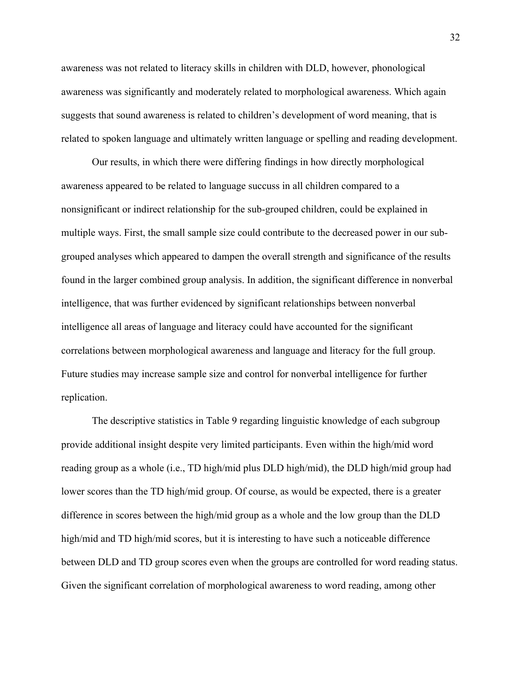awareness was not related to literacy skills in children with DLD, however, phonological awareness was significantly and moderately related to morphological awareness. Which again suggests that sound awareness is related to children's development of word meaning, that is related to spoken language and ultimately written language or spelling and reading development.

Our results, in which there were differing findings in how directly morphological awareness appeared to be related to language succuss in all children compared to a nonsignificant or indirect relationship for the sub-grouped children, could be explained in multiple ways. First, the small sample size could contribute to the decreased power in our subgrouped analyses which appeared to dampen the overall strength and significance of the results found in the larger combined group analysis. In addition, the significant difference in nonverbal intelligence, that was further evidenced by significant relationships between nonverbal intelligence all areas of language and literacy could have accounted for the significant correlations between morphological awareness and language and literacy for the full group. Future studies may increase sample size and control for nonverbal intelligence for further replication.

The descriptive statistics in Table 9 regarding linguistic knowledge of each subgroup provide additional insight despite very limited participants. Even within the high/mid word reading group as a whole (i.e., TD high/mid plus DLD high/mid), the DLD high/mid group had lower scores than the TD high/mid group. Of course, as would be expected, there is a greater difference in scores between the high/mid group as a whole and the low group than the DLD high/mid and TD high/mid scores, but it is interesting to have such a noticeable difference between DLD and TD group scores even when the groups are controlled for word reading status. Given the significant correlation of morphological awareness to word reading, among other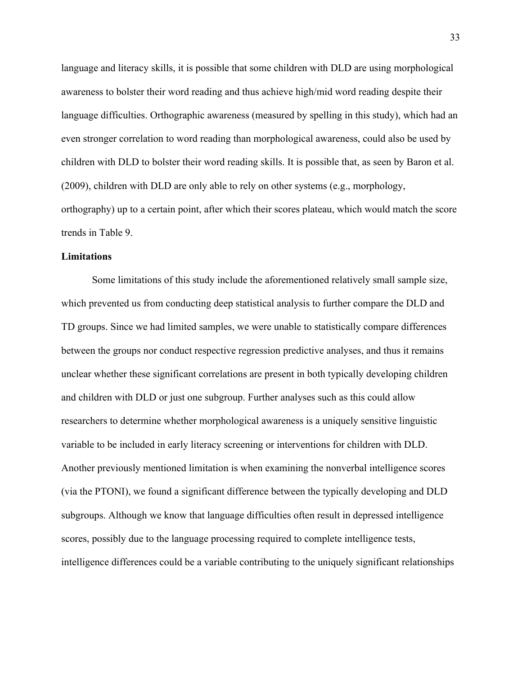language and literacy skills, it is possible that some children with DLD are using morphological awareness to bolster their word reading and thus achieve high/mid word reading despite their language difficulties. Orthographic awareness (measured by spelling in this study), which had an even stronger correlation to word reading than morphological awareness, could also be used by children with DLD to bolster their word reading skills. It is possible that, as seen by Baron et al. (2009), children with DLD are only able to rely on other systems (e.g., morphology, orthography) up to a certain point, after which their scores plateau, which would match the score trends in Table 9.

## **Limitations**

Some limitations of this study include the aforementioned relatively small sample size, which prevented us from conducting deep statistical analysis to further compare the DLD and TD groups. Since we had limited samples, we were unable to statistically compare differences between the groups nor conduct respective regression predictive analyses, and thus it remains unclear whether these significant correlations are present in both typically developing children and children with DLD or just one subgroup. Further analyses such as this could allow researchers to determine whether morphological awareness is a uniquely sensitive linguistic variable to be included in early literacy screening or interventions for children with DLD. Another previously mentioned limitation is when examining the nonverbal intelligence scores (via the PTONI), we found a significant difference between the typically developing and DLD subgroups. Although we know that language difficulties often result in depressed intelligence scores, possibly due to the language processing required to complete intelligence tests, intelligence differences could be a variable contributing to the uniquely significant relationships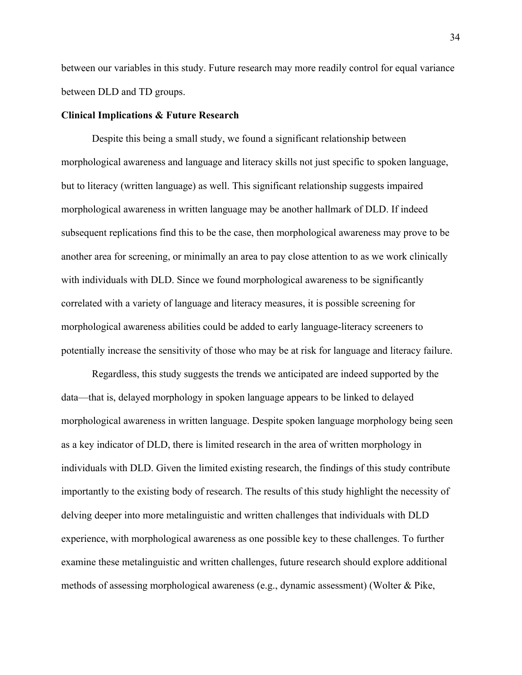between our variables in this study. Future research may more readily control for equal variance between DLD and TD groups.

#### **Clinical Implications & Future Research**

Despite this being a small study, we found a significant relationship between morphological awareness and language and literacy skills not just specific to spoken language, but to literacy (written language) as well. This significant relationship suggests impaired morphological awareness in written language may be another hallmark of DLD. If indeed subsequent replications find this to be the case, then morphological awareness may prove to be another area for screening, or minimally an area to pay close attention to as we work clinically with individuals with DLD. Since we found morphological awareness to be significantly correlated with a variety of language and literacy measures, it is possible screening for morphological awareness abilities could be added to early language-literacy screeners to potentially increase the sensitivity of those who may be at risk for language and literacy failure.

Regardless, this study suggests the trends we anticipated are indeed supported by the data—that is, delayed morphology in spoken language appears to be linked to delayed morphological awareness in written language. Despite spoken language morphology being seen as a key indicator of DLD, there is limited research in the area of written morphology in individuals with DLD. Given the limited existing research, the findings of this study contribute importantly to the existing body of research. The results of this study highlight the necessity of delving deeper into more metalinguistic and written challenges that individuals with DLD experience, with morphological awareness as one possible key to these challenges. To further examine these metalinguistic and written challenges, future research should explore additional methods of assessing morphological awareness (e.g., dynamic assessment) (Wolter & Pike,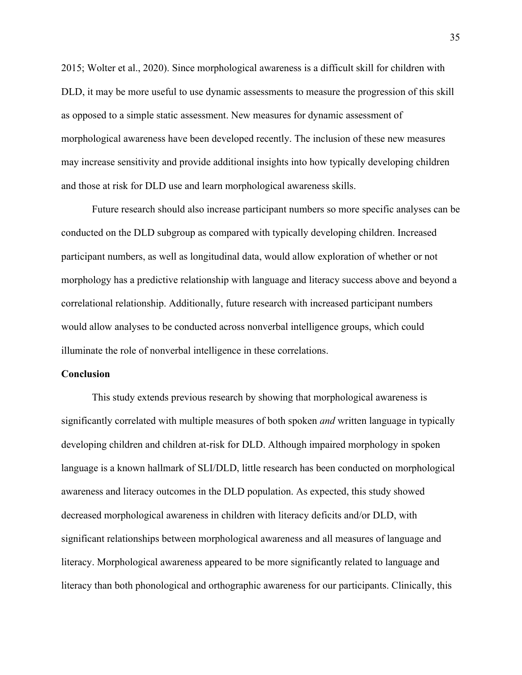2015; Wolter et al., 2020). Since morphological awareness is a difficult skill for children with DLD, it may be more useful to use dynamic assessments to measure the progression of this skill as opposed to a simple static assessment. New measures for dynamic assessment of morphological awareness have been developed recently. The inclusion of these new measures may increase sensitivity and provide additional insights into how typically developing children and those at risk for DLD use and learn morphological awareness skills.

Future research should also increase participant numbers so more specific analyses can be conducted on the DLD subgroup as compared with typically developing children. Increased participant numbers, as well as longitudinal data, would allow exploration of whether or not morphology has a predictive relationship with language and literacy success above and beyond a correlational relationship. Additionally, future research with increased participant numbers would allow analyses to be conducted across nonverbal intelligence groups, which could illuminate the role of nonverbal intelligence in these correlations.

#### **Conclusion**

This study extends previous research by showing that morphological awareness is significantly correlated with multiple measures of both spoken *and* written language in typically developing children and children at-risk for DLD. Although impaired morphology in spoken language is a known hallmark of SLI/DLD, little research has been conducted on morphological awareness and literacy outcomes in the DLD population. As expected, this study showed decreased morphological awareness in children with literacy deficits and/or DLD, with significant relationships between morphological awareness and all measures of language and literacy. Morphological awareness appeared to be more significantly related to language and literacy than both phonological and orthographic awareness for our participants. Clinically, this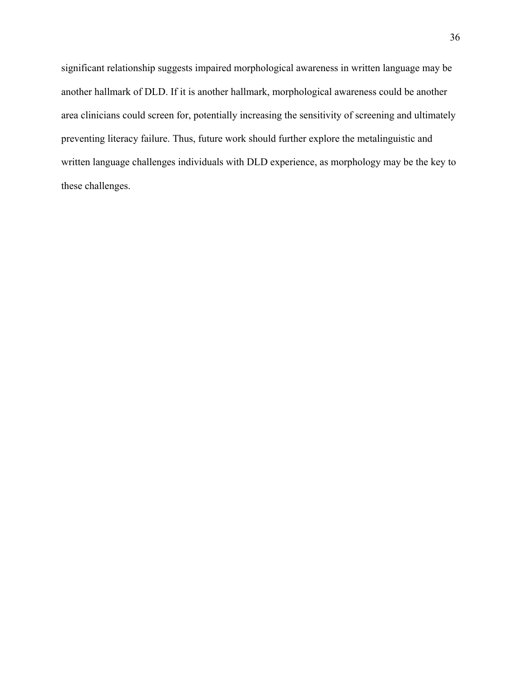significant relationship suggests impaired morphological awareness in written language may be another hallmark of DLD. If it is another hallmark, morphological awareness could be another area clinicians could screen for, potentially increasing the sensitivity of screening and ultimately preventing literacy failure. Thus, future work should further explore the metalinguistic and written language challenges individuals with DLD experience, as morphology may be the key to these challenges.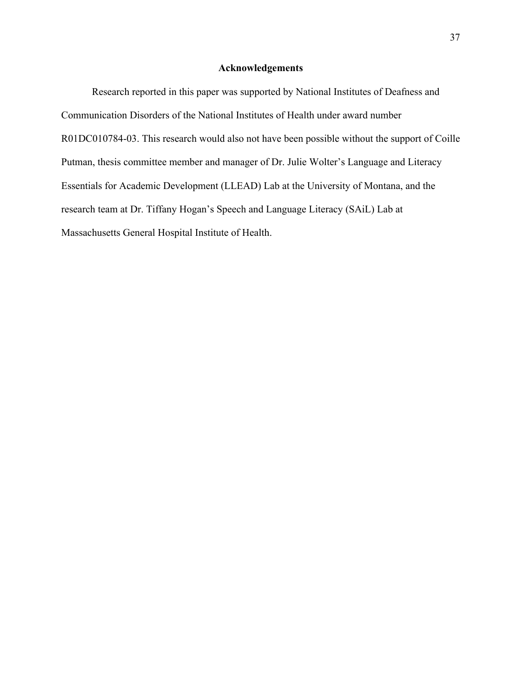## **Acknowledgements**

Research reported in this paper was supported by National Institutes of Deafness and Communication Disorders of the National Institutes of Health under award number R01DC010784-03. This research would also not have been possible without the support of Coille Putman, thesis committee member and manager of Dr. Julie Wolter's Language and Literacy Essentials for Academic Development (LLEAD) Lab at the University of Montana, and the research team at Dr. Tiffany Hogan's Speech and Language Literacy (SAiL) Lab at Massachusetts General Hospital Institute of Health.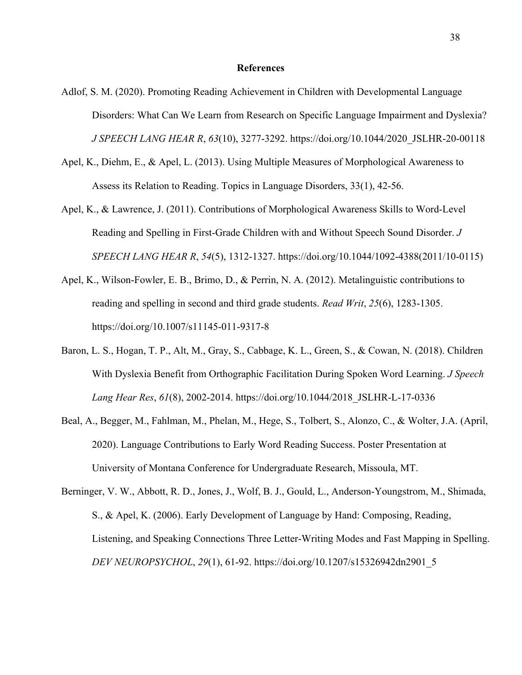#### **References**

- Adlof, S. M. (2020). Promoting Reading Achievement in Children with Developmental Language Disorders: What Can We Learn from Research on Specific Language Impairment and Dyslexia? *J SPEECH LANG HEAR R*, *63*(10), 3277-3292. https://doi.org/10.1044/2020\_JSLHR-20-00118
- Apel, K., Diehm, E., & Apel, L. (2013). Using Multiple Measures of Morphological Awareness to Assess its Relation to Reading. Topics in Language Disorders, 33(1), 42-56.
- Apel, K., & Lawrence, J. (2011). Contributions of Morphological Awareness Skills to Word-Level Reading and Spelling in First-Grade Children with and Without Speech Sound Disorder. *J SPEECH LANG HEAR R*, *54*(5), 1312-1327. https://doi.org/10.1044/1092-4388(2011/10-0115)
- Apel, K., Wilson-Fowler, E. B., Brimo, D., & Perrin, N. A. (2012). Metalinguistic contributions to reading and spelling in second and third grade students. *Read Writ*, *25*(6), 1283-1305. https://doi.org/10.1007/s11145-011-9317-8
- Baron, L. S., Hogan, T. P., Alt, M., Gray, S., Cabbage, K. L., Green, S., & Cowan, N. (2018). Children With Dyslexia Benefit from Orthographic Facilitation During Spoken Word Learning. *J Speech Lang Hear Res*, *61*(8), 2002-2014. https://doi.org/10.1044/2018\_JSLHR-L-17-0336
- Beal, A., Begger, M., Fahlman, M., Phelan, M., Hege, S., Tolbert, S., Alonzo, C., & Wolter, J.A. (April, 2020). Language Contributions to Early Word Reading Success. Poster Presentation at University of Montana Conference for Undergraduate Research, Missoula, MT.
- Berninger, V. W., Abbott, R. D., Jones, J., Wolf, B. J., Gould, L., Anderson-Youngstrom, M., Shimada, S., & Apel, K. (2006). Early Development of Language by Hand: Composing, Reading, Listening, and Speaking Connections Three Letter-Writing Modes and Fast Mapping in Spelling. *DEV NEUROPSYCHOL*, *29*(1), 61-92. https://doi.org/10.1207/s15326942dn2901\_5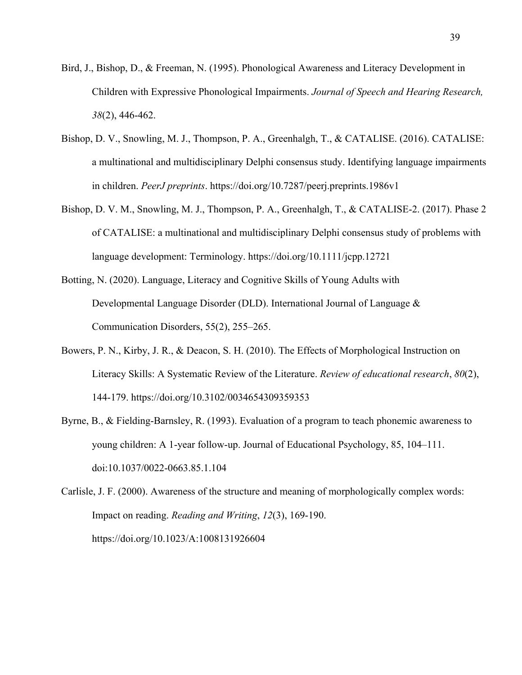- Bird, J., Bishop, D., & Freeman, N. (1995). Phonological Awareness and Literacy Development in Children with Expressive Phonological Impairments. *Journal of Speech and Hearing Research, 38*(2), 446-462.
- Bishop, D. V., Snowling, M. J., Thompson, P. A., Greenhalgh, T., & CATALISE. (2016). CATALISE: a multinational and multidisciplinary Delphi consensus study. Identifying language impairments in children. *PeerJ preprints*. https://doi.org/10.7287/peerj.preprints.1986v1
- Bishop, D. V. M., Snowling, M. J., Thompson, P. A., Greenhalgh, T., & CATALISE-2. (2017). Phase 2 of CATALISE: a multinational and multidisciplinary Delphi consensus study of problems with language development: Terminology. https://doi.org/10.1111/jcpp.12721
- Botting, N. (2020). Language, Literacy and Cognitive Skills of Young Adults with Developmental Language Disorder (DLD). International Journal of Language & Communication Disorders, 55(2), 255–265.
- Bowers, P. N., Kirby, J. R., & Deacon, S. H. (2010). The Effects of Morphological Instruction on Literacy Skills: A Systematic Review of the Literature. *Review of educational research*, *80*(2), 144-179. https://doi.org/10.3102/0034654309359353
- Byrne, B., & Fielding-Barnsley, R. (1993). Evaluation of a program to teach phonemic awareness to young children: A 1-year follow-up. Journal of Educational Psychology, 85, 104–111. doi:10.1037/0022-0663.85.1.104

Carlisle, J. F. (2000). Awareness of the structure and meaning of morphologically complex words: Impact on reading. *Reading and Writing*, *12*(3), 169-190. https://doi.org/10.1023/A:1008131926604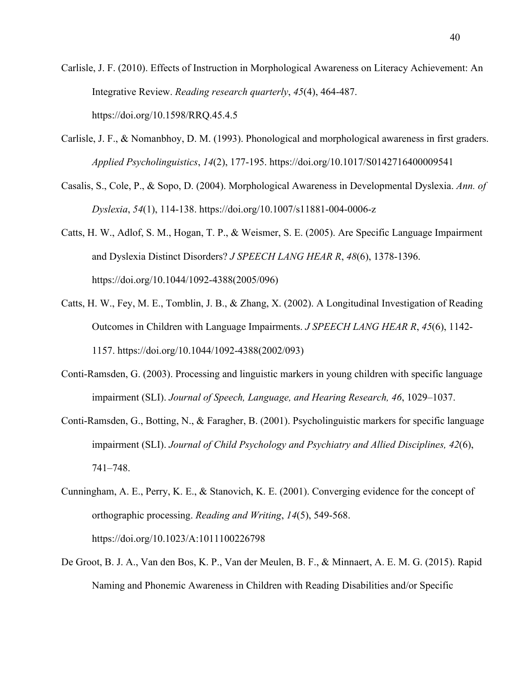Carlisle, J. F. (2010). Effects of Instruction in Morphological Awareness on Literacy Achievement: An Integrative Review. *Reading research quarterly*, *45*(4), 464-487. https://doi.org/10.1598/RRQ.45.4.5

- Carlisle, J. F., & Nomanbhoy, D. M. (1993). Phonological and morphological awareness in first graders. *Applied Psycholinguistics*, *14*(2), 177-195. https://doi.org/10.1017/S0142716400009541
- Casalis, S., Cole, P., & Sopo, D. (2004). Morphological Awareness in Developmental Dyslexia. *Ann. of Dyslexia*, *54*(1), 114-138. https://doi.org/10.1007/s11881-004-0006-z
- Catts, H. W., Adlof, S. M., Hogan, T. P., & Weismer, S. E. (2005). Are Specific Language Impairment and Dyslexia Distinct Disorders? *J SPEECH LANG HEAR R*, *48*(6), 1378-1396. https://doi.org/10.1044/1092-4388(2005/096)
- Catts, H. W., Fey, M. E., Tomblin, J. B., & Zhang, X. (2002). A Longitudinal Investigation of Reading Outcomes in Children with Language Impairments. *J SPEECH LANG HEAR R*, *45*(6), 1142- 1157. https://doi.org/10.1044/1092-4388(2002/093)
- Conti-Ramsden, G. (2003). Processing and linguistic markers in young children with specific language impairment (SLI). *Journal of Speech, Language, and Hearing Research, 46*, 1029–1037.
- Conti-Ramsden, G., Botting, N., & Faragher, B. (2001). Psycholinguistic markers for specific language impairment (SLI). *Journal of Child Psychology and Psychiatry and Allied Disciplines, 42*(6), 741–748.
- Cunningham, A. E., Perry, K. E., & Stanovich, K. E. (2001). Converging evidence for the concept of orthographic processing. *Reading and Writing*, *14*(5), 549-568. https://doi.org/10.1023/A:1011100226798
- De Groot, B. J. A., Van den Bos, K. P., Van der Meulen, B. F., & Minnaert, A. E. M. G. (2015). Rapid Naming and Phonemic Awareness in Children with Reading Disabilities and/or Specific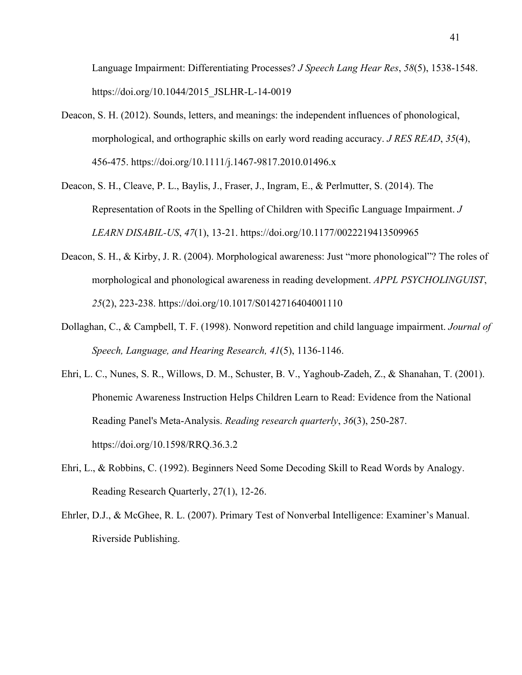Language Impairment: Differentiating Processes? *J Speech Lang Hear Res*, *58*(5), 1538-1548. https://doi.org/10.1044/2015\_JSLHR-L-14-0019

- Deacon, S. H. (2012). Sounds, letters, and meanings: the independent influences of phonological, morphological, and orthographic skills on early word reading accuracy. *J RES READ*, *35*(4), 456-475. https://doi.org/10.1111/j.1467-9817.2010.01496.x
- Deacon, S. H., Cleave, P. L., Baylis, J., Fraser, J., Ingram, E., & Perlmutter, S. (2014). The Representation of Roots in the Spelling of Children with Specific Language Impairment. *J LEARN DISABIL-US*, *47*(1), 13-21. https://doi.org/10.1177/0022219413509965
- Deacon, S. H., & Kirby, J. R. (2004). Morphological awareness: Just "more phonological"? The roles of morphological and phonological awareness in reading development. *APPL PSYCHOLINGUIST*, *25*(2), 223-238. https://doi.org/10.1017/S0142716404001110
- Dollaghan, C., & Campbell, T. F. (1998). Nonword repetition and child language impairment. *Journal of Speech, Language, and Hearing Research, 41*(5), 1136-1146.
- Ehri, L. C., Nunes, S. R., Willows, D. M., Schuster, B. V., Yaghoub-Zadeh, Z., & Shanahan, T. (2001). Phonemic Awareness Instruction Helps Children Learn to Read: Evidence from the National Reading Panel's Meta-Analysis. *Reading research quarterly*, *36*(3), 250-287. https://doi.org/10.1598/RRQ.36.3.2
- Ehri, L., & Robbins, C. (1992). Beginners Need Some Decoding Skill to Read Words by Analogy. Reading Research Quarterly, 27(1), 12-26.
- Ehrler, D.J., & McGhee, R. L. (2007). Primary Test of Nonverbal Intelligence: Examiner's Manual. Riverside Publishing.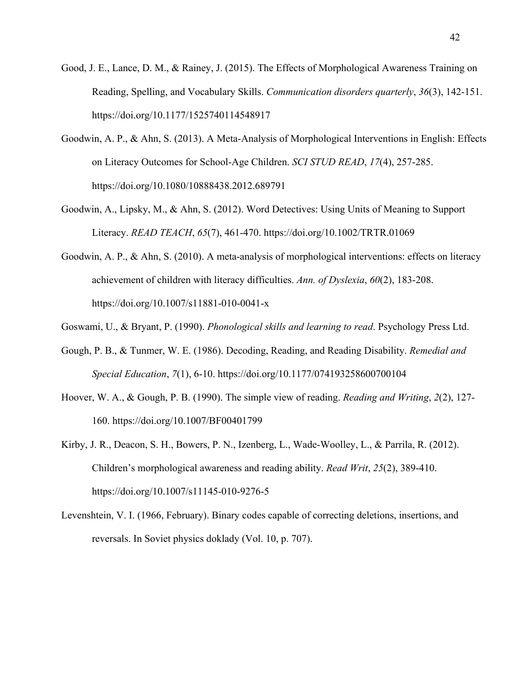- Good, J. E., Lance, D. M., & Rainey, J. (2015). The Effects of Morphological Awareness Training on Reading, Spelling, and Vocabulary Skills. *Communication disorders quarterly*, *36*(3), 142-151. https://doi.org/10.1177/1525740114548917
- Goodwin, A. P., & Ahn, S. (2013). A Meta-Analysis of Morphological Interventions in English: Effects on Literacy Outcomes for School-Age Children. *SCI STUD READ*, *17*(4), 257-285. https://doi.org/10.1080/10888438.2012.689791
- Goodwin, A., Lipsky, M., & Ahn, S. (2012). Word Detectives: Using Units of Meaning to Support Literacy. *READ TEACH*, *65*(7), 461-470. https://doi.org/10.1002/TRTR.01069
- Goodwin, A. P., & Ahn, S. (2010). A meta-analysis of morphological interventions: effects on literacy achievement of children with literacy difficulties. *Ann. of Dyslexia*, *60*(2), 183-208. https://doi.org/10.1007/s11881-010-0041-x
- Goswami, U., & Bryant, P. (1990). *Phonological skills and learning to read*. Psychology Press Ltd.
- Gough, P. B., & Tunmer, W. E. (1986). Decoding, Reading, and Reading Disability. *Remedial and Special Education*, *7*(1), 6-10. https://doi.org/10.1177/074193258600700104
- Hoover, W. A., & Gough, P. B. (1990). The simple view of reading. *Reading and Writing*, *2*(2), 127- 160. https://doi.org/10.1007/BF00401799
- Kirby, J. R., Deacon, S. H., Bowers, P. N., Izenberg, L., Wade-Woolley, L., & Parrila, R. (2012). Children's morphological awareness and reading ability. *Read Writ*, *25*(2), 389-410. https://doi.org/10.1007/s11145-010-9276-5
- Levenshtein, V. I. (1966, February). Binary codes capable of correcting deletions, insertions, and reversals. In Soviet physics doklady (Vol. 10, p. 707).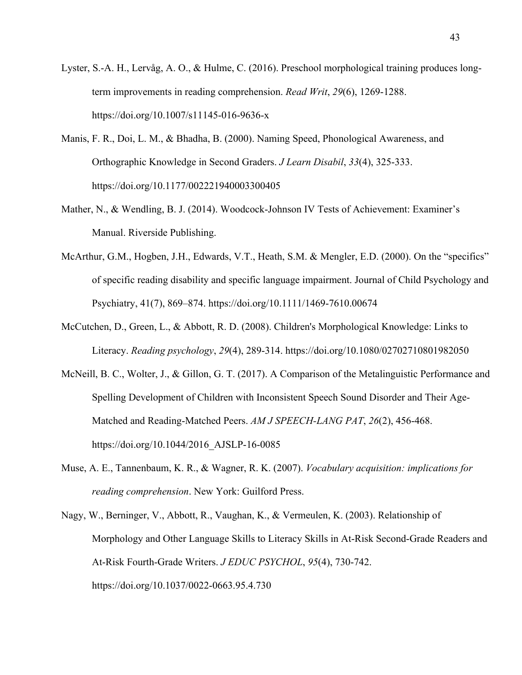- Lyster, S.-A. H., Lervåg, A. O., & Hulme, C. (2016). Preschool morphological training produces longterm improvements in reading comprehension. *Read Writ*, *29*(6), 1269-1288. https://doi.org/10.1007/s11145-016-9636-x
- Manis, F. R., Doi, L. M., & Bhadha, B. (2000). Naming Speed, Phonological Awareness, and Orthographic Knowledge in Second Graders. *J Learn Disabil*, *33*(4), 325-333. https://doi.org/10.1177/002221940003300405
- Mather, N., & Wendling, B. J. (2014). Woodcock-Johnson IV Tests of Achievement: Examiner's Manual. Riverside Publishing.
- McArthur, G.M., Hogben, J.H., Edwards, V.T., Heath, S.M. & Mengler, E.D. (2000). On the "specifics" of specific reading disability and specific language impairment. Journal of Child Psychology and Psychiatry, 41(7), 869–874. https://doi.org/10.1111/1469-7610.00674
- McCutchen, D., Green, L., & Abbott, R. D. (2008). Children's Morphological Knowledge: Links to Literacy. *Reading psychology*, *29*(4), 289-314. https://doi.org/10.1080/02702710801982050
- McNeill, B. C., Wolter, J., & Gillon, G. T. (2017). A Comparison of the Metalinguistic Performance and Spelling Development of Children with Inconsistent Speech Sound Disorder and Their Age-Matched and Reading-Matched Peers. *AM J SPEECH-LANG PAT*, *26*(2), 456-468. https://doi.org/10.1044/2016\_AJSLP-16-0085
- Muse, A. E., Tannenbaum, K. R., & Wagner, R. K. (2007). *Vocabulary acquisition: implications for reading comprehension*. New York: Guilford Press.
- Nagy, W., Berninger, V., Abbott, R., Vaughan, K., & Vermeulen, K. (2003). Relationship of Morphology and Other Language Skills to Literacy Skills in At-Risk Second-Grade Readers and At-Risk Fourth-Grade Writers. *J EDUC PSYCHOL*, *95*(4), 730-742. https://doi.org/10.1037/0022-0663.95.4.730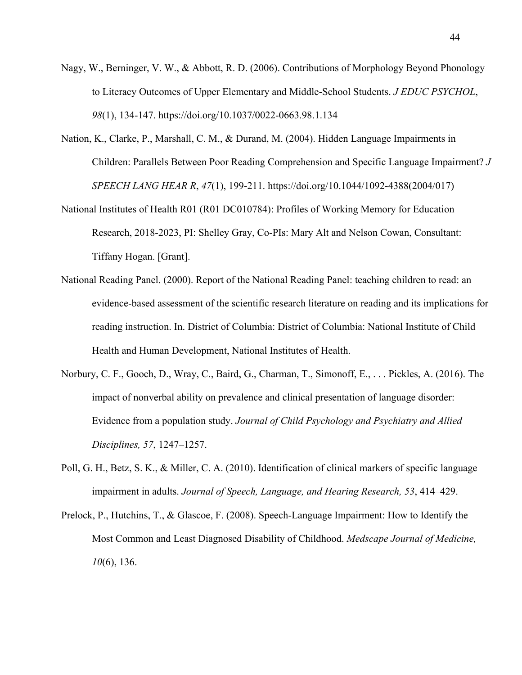- Nagy, W., Berninger, V. W., & Abbott, R. D. (2006). Contributions of Morphology Beyond Phonology to Literacy Outcomes of Upper Elementary and Middle-School Students. *J EDUC PSYCHOL*, *98*(1), 134-147. https://doi.org/10.1037/0022-0663.98.1.134
- Nation, K., Clarke, P., Marshall, C. M., & Durand, M. (2004). Hidden Language Impairments in Children: Parallels Between Poor Reading Comprehension and Specific Language Impairment? *J SPEECH LANG HEAR R*, *47*(1), 199-211. https://doi.org/10.1044/1092-4388(2004/017)
- National Institutes of Health R01 (R01 DC010784): Profiles of Working Memory for Education Research, 2018-2023, PI: Shelley Gray, Co-PIs: Mary Alt and Nelson Cowan, Consultant: Tiffany Hogan. [Grant].
- National Reading Panel. (2000). Report of the National Reading Panel: teaching children to read: an evidence-based assessment of the scientific research literature on reading and its implications for reading instruction. In. District of Columbia: District of Columbia: National Institute of Child Health and Human Development, National Institutes of Health.
- Norbury, C. F., Gooch, D., Wray, C., Baird, G., Charman, T., Simonoff, E., . . . Pickles, A. (2016). The impact of nonverbal ability on prevalence and clinical presentation of language disorder: Evidence from a population study. *Journal of Child Psychology and Psychiatry and Allied Disciplines, 57*, 1247–1257.
- Poll, G. H., Betz, S. K., & Miller, C. A. (2010). Identification of clinical markers of specific language impairment in adults. *Journal of Speech, Language, and Hearing Research, 53*, 414–429.
- Prelock, P., Hutchins, T., & Glascoe, F. (2008). Speech-Language Impairment: How to Identify the Most Common and Least Diagnosed Disability of Childhood. *Medscape Journal of Medicine, 10*(6), 136.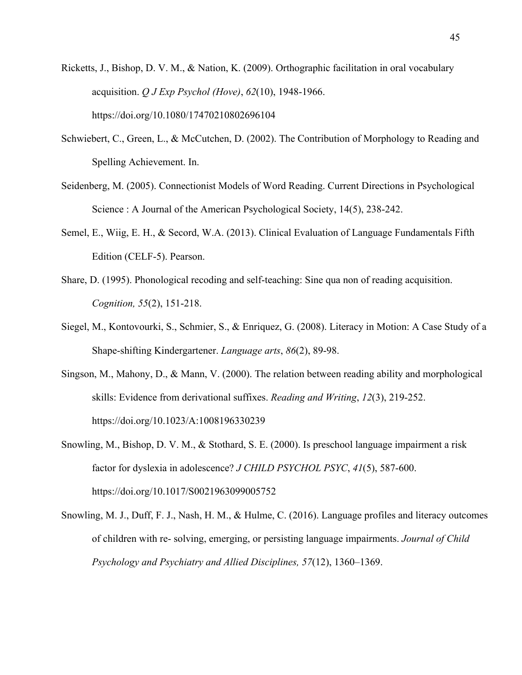- Ricketts, J., Bishop, D. V. M., & Nation, K. (2009). Orthographic facilitation in oral vocabulary acquisition. *Q J Exp Psychol (Hove)*, *62*(10), 1948-1966. https://doi.org/10.1080/17470210802696104
- Schwiebert, C., Green, L., & McCutchen, D. (2002). The Contribution of Morphology to Reading and Spelling Achievement. In.
- Seidenberg, M. (2005). Connectionist Models of Word Reading. Current Directions in Psychological Science : A Journal of the American Psychological Society, 14(5), 238-242.
- Semel, E., Wiig, E. H., & Secord, W.A. (2013). Clinical Evaluation of Language Fundamentals Fifth Edition (CELF-5). Pearson.
- Share, D. (1995). Phonological recoding and self-teaching: Sine qua non of reading acquisition. *Cognition, 55*(2), 151-218.
- Siegel, M., Kontovourki, S., Schmier, S., & Enriquez, G. (2008). Literacy in Motion: A Case Study of a Shape-shifting Kindergartener. *Language arts*, *86*(2), 89-98.
- Singson, M., Mahony, D., & Mann, V. (2000). The relation between reading ability and morphological skills: Evidence from derivational suffixes. *Reading and Writing*, *12*(3), 219-252. https://doi.org/10.1023/A:1008196330239
- Snowling, M., Bishop, D. V. M., & Stothard, S. E. (2000). Is preschool language impairment a risk factor for dyslexia in adolescence? *J CHILD PSYCHOL PSYC*, *41*(5), 587-600. https://doi.org/10.1017/S0021963099005752
- Snowling, M. J., Duff, F. J., Nash, H. M., & Hulme, C. (2016). Language profiles and literacy outcomes of children with re- solving, emerging, or persisting language impairments. *Journal of Child Psychology and Psychiatry and Allied Disciplines, 57*(12), 1360–1369.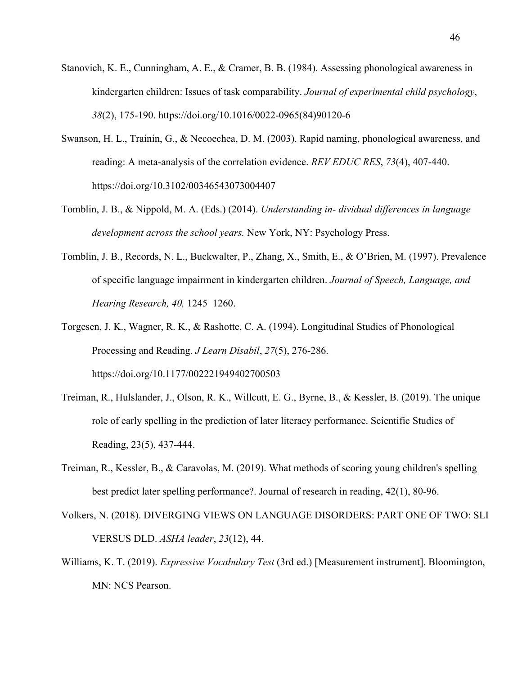- Stanovich, K. E., Cunningham, A. E., & Cramer, B. B. (1984). Assessing phonological awareness in kindergarten children: Issues of task comparability. *Journal of experimental child psychology*, *38*(2), 175-190. https://doi.org/10.1016/0022-0965(84)90120-6
- Swanson, H. L., Trainin, G., & Necoechea, D. M. (2003). Rapid naming, phonological awareness, and reading: A meta-analysis of the correlation evidence. *REV EDUC RES*, *73*(4), 407-440. https://doi.org/10.3102/00346543073004407
- Tomblin, J. B., & Nippold, M. A. (Eds.) (2014). *Understanding in- dividual differences in language development across the school years.* New York, NY: Psychology Press.
- Tomblin, J. B., Records, N. L., Buckwalter, P., Zhang, X., Smith, E., & O'Brien, M. (1997). Prevalence of specific language impairment in kindergarten children. *Journal of Speech, Language, and Hearing Research, 40,* 1245–1260.
- Torgesen, J. K., Wagner, R. K., & Rashotte, C. A. (1994). Longitudinal Studies of Phonological Processing and Reading. *J Learn Disabil*, *27*(5), 276-286. https://doi.org/10.1177/002221949402700503
- Treiman, R., Hulslander, J., Olson, R. K., Willcutt, E. G., Byrne, B., & Kessler, B. (2019). The unique role of early spelling in the prediction of later literacy performance. Scientific Studies of Reading, 23(5), 437-444.
- Treiman, R., Kessler, B., & Caravolas, M. (2019). What methods of scoring young children's spelling best predict later spelling performance?. Journal of research in reading, 42(1), 80-96.
- Volkers, N. (2018). DIVERGING VIEWS ON LANGUAGE DISORDERS: PART ONE OF TWO: SLI VERSUS DLD. *ASHA leader*, *23*(12), 44.
- Williams, K. T. (2019). *Expressive Vocabulary Test* (3rd ed.) [Measurement instrument]. Bloomington, MN: NCS Pearson.